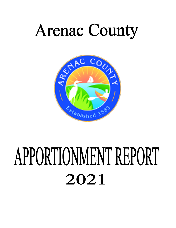# **Arenac County**



# APPORTIONMENT REPORT 2021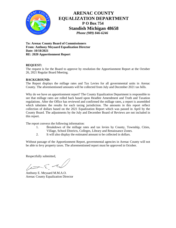

## **ARENAC COUNTY EQUALIZATION DEPARTMENT P O Box 754 Standish Michigan 48658**  *Phone (989) 846-6246*

**To: Arenac County Board of Commissioners From: Anthony Meyaard Equalization Director Date: 10/18/2021 RE: 2020 Apportionment Report**

## **REQUEST:**

The request is for the Board to approve by resolution the Apportionment Report at the October 26, 2021 Regular Board Meeting.

## **BACKGROUND:**

The Report displays the millage rates and Tax Levies for all governmental units in Arenac County. The aforementioned amounts will be collected from July and December 2021 tax bills.

Why do we have an apportionment report? The County Equalization Department is responsible to see that millage rates are rolled back based upon Headlee Amendment and Truth and Taxation regulations. After the Office has reviewed and confirmed the millage rates, a report is assembled which tabulates the results for each taxing jurisdiction. The amounts in this report reflect collection of dollars based on the 2021 Equalization Report which was passed in April by the County Board. The adjustments by the July and December Board of Reviews are not included in this report.

The report conveys the following information:

- 1. Breakdown of the millage rates and tax levies by County, Township, Cities, Village, School Districts, Colleges, Library and Renaissance Zones.
- 2. It will also display the estimated amount to be collected in dollars.

Without passage of the Apportionment Report, governmental agencies in Arenac County will not be able to levy property taxes. The aforementioned report must be approved in October.

Respectfully submitted,

let El

Anthony E. Meyaard M.M.A.O. Arenac County Equalization Director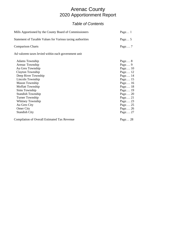# Arenac County 2020 Apportionment Report

## *Table of Contents*

| Mills Apportioned by the County Board of Commissioners     | Page $\dots$ 1 |
|------------------------------------------------------------|----------------|
| Statement of Taxable Values for Various taxing authorities | Page $5$       |
| <b>Comparison Charts</b>                                   | Page $7$       |
| Ad valorem taxes levied within each government unit        |                |

| <b>Adams Township</b>                               | Page $8$  |
|-----------------------------------------------------|-----------|
| Arenac Township                                     | Page $9$  |
| Au Gres Township                                    | Page $10$ |
| Clayton Township                                    | Page $12$ |
| Deep River Township                                 | Page $14$ |
| Lincoln Township                                    | Page 15   |
| Mason Township                                      | Page $16$ |
| Moffatt Township                                    | Page 18   |
| Sims Township                                       | Page 19   |
| <b>Standish Township</b>                            | Page $20$ |
| Turner Township                                     | Page $21$ |
| Whitney Township                                    | Page $23$ |
| Au Gres City                                        | Page $25$ |
| <b>Omer City</b>                                    | Page $26$ |
| <b>Standish City</b>                                | Page $27$ |
| <b>Compilation of Overall Estimated Tax Revenue</b> | Page $28$ |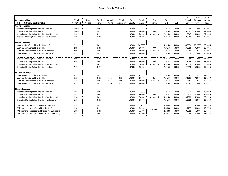| <b>Government Unit</b><br><b>School District &amp; Taxable Status</b><br><b>Adams Township</b><br>Standish-Sterling School District [Non-PRE]<br>Standish-Sterling School District [PRE]<br>Standish-Sterling School District [Com. Personal]<br>Standish-Sterling School District [Ind. Personal]           | Total<br>Gov't Unit<br>1.0000<br>1.0000<br>1.0000<br>1.0000 | Total<br>Village | Total<br>Library<br>0.4912<br>0.4912<br>0.4912<br>0.4912 | Authority<br>Name | Total<br>Authority         | Total<br>County<br>10.9000<br>10.9000<br>10.9000<br>10.9000    | Total<br>School<br>21.0000<br>3.0000<br>9.0000<br>3.0000  | I.S.D.<br>Name<br>Bay<br>Arenac ISD    | Total<br>I.S.D.<br>4.9153<br>4.9153<br>4.9153<br>4.9153  | <b>SET</b><br>6.0000<br>6.0000<br>6.0000<br>0.0000       | Total<br>Annual<br>Levy<br>44.3065<br>26.3065<br>32.3065<br>20.3065 | Total<br>Summer<br>Levy<br>5.2000<br>5.2000<br>5.2000<br>5.2000 | Total<br>Winter<br>Levy<br>39.1065<br>21.1065<br>27.1065<br>15.1065 |
|--------------------------------------------------------------------------------------------------------------------------------------------------------------------------------------------------------------------------------------------------------------------------------------------------------------|-------------------------------------------------------------|------------------|----------------------------------------------------------|-------------------|----------------------------|----------------------------------------------------------------|-----------------------------------------------------------|----------------------------------------|----------------------------------------------------------|----------------------------------------------------------|---------------------------------------------------------------------|-----------------------------------------------------------------|---------------------------------------------------------------------|
| <b>Arenac Township</b><br>Au Gres-Sims School District [Non-PRE]<br>Au Gres-Sims School District [PRE]<br>Au Gres-Sims School District [Com. Personal]<br>Au Gres-Sims School District [Ind. Personal]<br>Standish-Sterling School District [Non-PRE]                                                        | 2.9991<br>2.9991<br>2.9991<br>2.9991<br>2.9991              |                  | 0.4912<br>0.4912<br>0.4912<br>0.4912<br>0.4912           |                   |                            | 10.9000<br>10.9000<br>10.9000<br>10.9000<br>10.9000            | 20.0000<br>2.0000<br>8.0000<br>2.0000<br>21.0000          | Bay<br>Arenac ISD                      | 4.9153<br>4.9153<br>4.9153<br>4.9153<br>4.9153           | 6.0000<br>6.0000<br>6.0000<br>0.0000<br>6.0000           | 45.3056<br>27.3056<br>33.3056<br>21.3056<br>46.3056                 | 25.2000<br>7.2000<br>13.2000<br>7.2000<br>5.2000                | 20.1056<br>20.1056<br>20.1056<br>14.1056<br>41.1056                 |
| Standish-Sterling School District [PRE]<br>Standish-Sterling School District [Com. Personal]<br>Standish-Sterling School District [Ind. Personal]<br><b>Au Gres Township</b><br>Au Gres-Sims School District [Non-PRE]<br>Au Gres-Sims School District [PRE]<br>Au Gres-Sims School District [Com. Personal] | 2.9991<br>2.9991<br>2.9991<br>5.3522<br>5.3522<br>5.3522    |                  | 0.4912<br>0.4912<br>0.4912<br>0.4912<br>0.4912<br>0.4912 | losco-<br>Arenac  | 0.9908<br>0.9908<br>0.9908 | 10.9000<br>10.9000<br>10.9000<br>10.9000<br>10.9000<br>10.9000 | 3.0000<br>9.0000<br>3.0000<br>20.0000<br>2.0000<br>8.0000 | Bay<br>Arenac ISD<br>Bay<br>Arenac ISD | 4.9153<br>4.9153<br>4.9153<br>4.9153<br>4.9153<br>4.9153 | 6.0000<br>6.0000<br>0.0000<br>6.0000<br>6.0000<br>6.0000 | 28.3056<br>34.3056<br>22.3056<br>47.6587<br>29.6587<br>35.6587      | 5.2000<br>5.2000<br>5.2000<br>25.2000<br>7.2000<br>13.2000      | 23.1056<br>29.1056<br>17.1056<br>22.4587<br>22.4587<br>22.4587      |
| Au Gres-Sims School District [Ind. Personal]<br><b>Clayton Township</b><br>Standish-Sterling School District [Non-PRE]<br>Standish-Sterling School District [PRE]<br>Standish-Sterling School District [Com. Personal]<br>Standish-Sterling School District [Ind. Personal]                                  | 5.3522<br>1.9855<br>1.9855<br>1.9855<br>1.9855              |                  | 0.4912<br>0.4912<br>0.4912<br>0.4912<br>0.4912           | Library           | 0.9908                     | 10.9000<br>10.9000<br>10.9000<br>10.9000<br>10.9000            | 2.0000<br>21.0000<br>3.0000<br>9.0000<br>3.0000           | Bay<br>Arenac ISD                      | 4.9153<br>4.9153<br>4.9153<br>4.9153<br>4.9153           | 0.0000<br>6.0000<br>6.0000<br>6.0000<br>0.0000           | 23.6587<br>45.2920<br>27.2920<br>33.2920<br>21.2920                 | 7.2000<br>5.2000<br>5.2000<br>5.2000<br>5.2000                  | 16.4587<br>40.0920<br>22.0920<br>28.0920<br>16.0920                 |
| Whittemore-Prescot School District [Non-PRE]<br>Whittemore-Prescot School District [PRE]<br>Whittemore-Prescot School District [Com. Personal]<br>Whittemore-Prescot School District [Ind. Personal]                                                                                                         | 1.9855<br>1.9855<br>1.9855<br>1.9855                        |                  | 0.4912<br>0.4912<br>0.4912<br>0.4912                     |                   |                            | 10.9000<br>10.9000<br>10.9000<br>10.9000                       | 21.2500<br>3.2500<br>9.2500<br>3.2500                     | losco ISD                              | 1.6488<br>1.6488<br>1.6488<br>1.6488                     | 6.0000<br>6.0000<br>6.0000<br>0.0000                     | 42.2755<br>24.2755<br>30.2755<br>18.2755                            | 5.2000<br>5.2000<br>5.2000<br>5.2000                            | 37.0755<br>19.0755<br>25.0755<br>13.0755                            |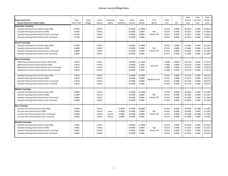|                                                    |            |         |         |           |           |         |         |                      |        |            | Total   | Total   | Total   |
|----------------------------------------------------|------------|---------|---------|-----------|-----------|---------|---------|----------------------|--------|------------|---------|---------|---------|
| <b>Government Unit</b>                             | Total      | Total   | Total   | Authority | Total     | Total   | Total   | I.S.D.               | Total  |            | Annual  | Summer  | Winter  |
| <b>School District &amp; Taxable Status</b>        | Gov't Unit | Village | Library | Name      | Authority | County  | School  | Name                 | I.S.D. | <b>SET</b> | Levy    | Levy    | Levy    |
| Deep River Township                                |            |         |         |           |           |         |         |                      |        |            |         |         |         |
| Standish-Sterling School District [Non-PRE]        | 4.9750     |         | 0.4912  |           |           | 10.9000 | 21.0000 |                      | 4.9153 | 6.0000     | 48.2815 | 5.2000  | 43.0815 |
| Standish-Sterling School District [PRE]            | 4.9750     |         | 0.4912  |           |           | 10.9000 | 3.0000  | Bay                  | 4.9153 | 6.0000     | 30.2815 | 5.2000  | 25.0815 |
| Standish-Sterling School District [Com. Personal]  | 4.9750     |         | 0.4912  |           |           | 10.9000 | 9.0000  | Arenac ISD           | 4.9153 | 6.0000     | 36.2815 | 5.2000  | 31.0815 |
| Standish-Sterling School District [Ind. Personal]  | 4.9750     |         | 0.4912  |           |           | 10.9000 | 3.0000  |                      | 4.9153 | 0.0000     | 24.2815 | 5.2000  | 19.0815 |
|                                                    |            |         |         |           |           |         |         |                      |        |            |         |         |         |
| <b>Lincoln Township</b>                            |            |         |         |           |           |         |         |                      |        |            |         |         |         |
| Standish-Sterling School District [Non-PRE]        | 2.0000     |         | 0.4912  |           |           | 10.9000 | 21.0000 |                      | 4.9153 | 6.0000     | 45.3065 | 5.2000  | 40.1065 |
| Standish-Sterling School District [PRE]            | 2.0000     |         | 0.4912  |           |           | 10.9000 | 3.0000  | Bay                  | 4.9153 | 6.0000     | 27.3065 | 5.2000  | 22.1065 |
| Standish-Sterling School District [Com. Personal]  | 2.0000     |         | 0.4912  |           |           | 10.9000 | 9.0000  | Arenac ISD           | 4.9153 | 6.0000     | 33.3065 | 5.2000  | 28.1065 |
| Standish-Sterling School District [Ind. Personal]  | 2.0000     |         | 0.4912  |           |           | 10.9000 | 3.0000  |                      | 4.9153 | 0.0000     | 21.3065 | 5.2000  | 16.1065 |
| <b>Mason Township</b>                              |            |         |         |           |           |         |         |                      |        |            |         |         |         |
| Whittemore-Prescot School District [Non-PRE]       | 1.9670     |         | 0.4912  |           |           | 10.9000 | 21.2500 |                      | 1.6488 | 6.0000     | 42.2570 | 5.2000  | 37.0570 |
| Whittemore-Prescot School District [PRE]           | 1.9670     |         | 0.4912  |           |           | 10.9000 | 3.2500  |                      | 1.6488 | 6.0000     | 24.2570 | 5.2000  | 19.0570 |
| Whittemore-Prescot School District [Com. Personal] | 1.9670     |         | 0.4912  |           |           | 10.9000 | 9.2500  | losco ISD            | 1.6488 | 6.0000     | 30.2570 | 5.2000  | 25.0570 |
| Whittemore-Prescot School District [Ind. Personal] | 1.9670     |         | 0.4912  |           |           | 10.9000 | 3.2500  |                      | 1.6488 | 0.0000     | 18.2570 | 5.2000  | 13.0570 |
|                                                    |            |         |         |           |           |         |         |                      |        |            |         |         |         |
| Standish-Sterling School District [Non-PRE]        | 1.9670     |         | 0.4912  |           |           | 10.9000 | 21.0000 |                      | 4.9153 | 6.0000     | 45.2735 | 5.2000  | 40.0735 |
| Standish-Sterling School District [PRE]            | 1.9670     |         | 0.4912  |           |           | 10.9000 | 3.0000  |                      | 4.9153 | 6.0000     | 27.2735 | 5.2000  | 22.0735 |
| Standish-Sterling School District [Com. Personal]  | 1.9670     |         | 0.4912  |           |           | 10.9000 | 9.0000  | <b>BayArenac ISD</b> | 4.9153 | 6.0000     | 33.2735 | 5.2000  | 28.0735 |
| Standish-Sterling School District [Ind. Personal]  | 1.9670     |         | 0.4912  |           |           | 10.9000 | 3.0000  |                      | 4.9153 | 0.0000     | 21.2735 | 5.2000  | 16.0735 |
|                                                    |            |         |         |           |           |         |         |                      |        |            |         |         |         |
| <b>Moffatt Township</b>                            |            |         |         |           |           |         |         |                      |        |            |         |         |         |
| Standish-Sterling School District [Non-PRE]        | 5.0000     |         | 0.4912  |           |           | 10.9000 | 21.0000 |                      | 4.9153 | 6.0000     | 48.3065 | 5.2000  | 43.1065 |
| Standish-Sterling School District [PRE]            | 5.0000     |         | 0.4912  |           |           | 10.9000 | 3.0000  | Bay                  | 4.9153 | 6.0000     | 30.3065 | 5.2000  | 25.1065 |
| Standish-Sterling School District [Com. Personal]  | 5.0000     |         | 0.4912  |           |           | 10.9000 | 9.0000  | Arenac ISD           | 4.9153 | 6.0000     | 36.3065 | 5.2000  | 31.1065 |
| Standish-Sterling School District [Ind. Personal]  | 5.0000     |         | 0.4912  |           |           | 10.9000 | 3.0000  |                      | 4.9153 | 0.0000     | 24.3065 | 5.2000  | 19.1065 |
| <b>Sims Township</b>                               |            |         |         |           |           |         |         |                      |        |            |         |         |         |
| Au Gres-Sims School District [Non-PRE]             | 3.9940     |         | 0.4912  |           | 0.9908    | 10.9000 | 20.0000 |                      | 4.9153 | 6.0000     | 46.3005 | 25.2000 | 21.1005 |
| Au Gres-Sims School District [PRE]                 | 3.9940     |         | 0.4912  | losco-    | 0.9908    | 10.9000 | 2.0000  | Bay                  | 4.9153 | 6.0000     | 28.3005 | 7.2000  | 21.1005 |
| Au Gres-Sims School District [Com. Personal]       | 3.9940     |         | 0.4912  | Arenac    | 0.9908    | 10.9000 | 8.0000  | Arenac ISD           | 4.9153 | 6.0000     | 34.3005 | 13.2000 | 21.1005 |
| Au Gres-Sims School District [Ind. Personal]       | 3.9940     |         | 0.4912  | Library   | 0.9908    | 10.9000 | 2.0000  |                      | 4.9153 | 0.0000     | 22.3005 | 7.2000  | 15.1005 |
|                                                    |            |         |         |           |           |         |         |                      |        |            |         |         |         |
| <b>Standish Township</b>                           |            |         |         |           |           |         |         |                      |        |            |         |         |         |
| Standish-Sterling School District [Non-PRE]        | 1.9962     |         | 0.4912  |           |           | 10.9000 | 21.0000 |                      | 4.9153 | 6.0000     | 45.3027 | 5.2000  | 40.1027 |
| Standish-Sterling School District [PRE]            | 1.9962     |         | 0.4912  |           |           | 10.9000 | 3.0000  | Bay                  | 4.9153 | 6.0000     | 27.3027 | 5.2000  | 22.1027 |
| Standish-Sterling School District [Com. Personal]  | 1.9962     |         | 0.4912  |           |           | 10.9000 | 9.0000  | Arenac ISD           | 4.9153 | 6.0000     | 33.3027 | 5.2000  | 28.1027 |
| Standish-Sterling School District [Ind. Personal]  | 1.9962     |         | 0.4912  |           |           | 10.9000 | 3.0000  |                      | 4.9153 | 0.0000     | 21.3027 | 5.2000  | 16.1027 |
|                                                    |            |         |         |           |           |         |         |                      |        |            |         |         |         |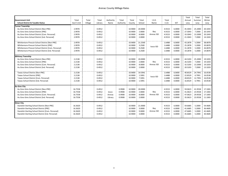|                                                    |            |         |         |           |           |         |         |            |        |        | Total   | Total   | Total   |
|----------------------------------------------------|------------|---------|---------|-----------|-----------|---------|---------|------------|--------|--------|---------|---------|---------|
| <b>Government Unit</b>                             | Total      | Total   | Total   | Authority | Total     | Total   | Total   | I.S.D.     | Total  |        | Annual  | Summer  | Winter  |
| <b>School District &amp; Taxable Status</b>        | Gov't Unit | Village | Library | Name      | Authority | County  | School  | Name       | I.S.D. | SET    | Levy    | Levy    | Levy    |
| <b>Turner Township</b>                             |            |         |         |           |           |         |         |            |        |        |         |         |         |
| Au Gres-Sims School District [Non-PRE]             | 2.9978     |         | 0.4912  |           |           | 10.9000 | 20,0000 |            | 4.9153 | 6.0000 | 45.3043 | 25.2000 | 20.1043 |
| Au Gres-Sims School District [PRE]                 | 2.9978     |         | 0.4912  |           |           | 10.9000 | 2.0000  | Bay        | 4.9153 | 6.0000 | 27.3043 | 7.2000  | 20.1043 |
| Au Gres-Sims School District [Com. Personal]       | 2.9978     |         | 0.4912  |           |           | 10.9000 | 8.0000  | Arenac ISD | 4.9153 | 6.0000 | 33.3043 | 13.2000 | 20.1043 |
| Au Gres-Sims School District [Ind. Personal]       | 2.9978     |         | 0.4912  |           |           | 10.9000 | 2.0000  |            | 4.9153 | 0.0000 | 21.3043 | 7.2000  | 14.1043 |
| Whittemore-Prescot School District [Non-PRE]       | 2.9978     |         | 0.4912  |           |           | 10.9000 | 21.2500 |            | 1.6488 | 6.0000 | 43.2878 | 5.2000  | 38.0878 |
| Whittemore-Prescot School District [PRE]           | 2.9978     |         | 0.4912  |           |           | 10.9000 | 3.2500  |            | 1.6488 | 6.0000 | 25.2878 | 5.2000  | 20.0878 |
| Whittemore-Prescot School District [Com. Personal] | 2.9978     |         | 0.4912  |           |           | 10.9000 | 9.2500  | losco ISD  | 1.6488 | 6.0000 | 31.2878 | 5.2000  | 26.0878 |
| Whittemore-Prescot School District [Ind. Personal] | 2.9978     |         | 0.4912  |           |           | 10.9000 | 3.2500  |            | 1.6488 | 0.0000 | 19.2878 | 5.2000  | 14.0878 |
| <b>Whitney Township</b>                            |            |         |         |           |           |         |         |            |        |        |         |         |         |
| Au Gres-Sims School District [Non-PRE]             | 2.2138     |         | 0.4912  |           |           | 10.9000 | 20,0000 |            | 4.9153 | 6.0000 | 44.5203 | 25.2000 | 19.3203 |
| Au Gres-Sims School District [PRE]                 | 2.2138     |         | 0.4912  |           |           | 10.9000 | 2.0000  | Bay        | 4.9153 | 6.0000 | 26.5203 | 7.2000  | 19.3203 |
| Au Gres-Sims School District [Com. Personal]       | 2.2138     |         | 0.4912  |           |           | 10.9000 | 8.0000  | Arenac ISD | 4.9153 | 6.0000 | 32.5203 | 13.2000 | 19.3203 |
| Au Gres-Sims School District [Ind. Personal]       | 2.2138     |         | 0.4912  |           |           | 10.9000 | 2.0000  |            | 4.9153 | 0.0000 | 20.5203 | 7.2000  | 13.3203 |
| Tawas School District [Non-PRE]                    | 2.2138     |         | 0.4912  |           |           | 10.9000 | 19.5991 |            | 1.6488 | 6.0000 | 40.8529 | 24.7991 | 16.0538 |
| Tawas School District [PRE]                        | 2.2138     |         | 0.4912  |           |           | 10.9000 | 1.5991  |            | 1.6488 | 6.0000 | 22.8529 | 6.7991  | 16.0538 |
| Tawas School District [Com. Personal]              | 2.2138     |         | 0.4912  |           |           | 10.9000 | 7.5991  | losco ISD  | 1.6488 | 6.0000 | 28.8529 | 12.7991 | 16.0538 |
| Tawas School District [Ind. Personal]              | 2.2138     |         | 0.4912  |           |           | 10.9000 | 1.5991  |            | 1.6488 | 0.0000 | 16.8529 | 6.7991  | 10.0538 |
| <b>Au Gres City</b>                                |            |         |         |           |           |         |         |            |        |        |         |         |         |
| Au Gres-Sims School District [Non-PRE]             | 16.7558    |         | 0.4912  |           | 0.9908    | 10.9000 | 20.0000 |            | 4.9153 | 6.0000 | 59.0623 | 41.9558 | 17.1065 |
| Au Gres-Sims School District [PRE]                 | 16.7558    |         | 0.4912  | losco-    | 0.9908    | 10.9000 | 2.0000  | Bay        | 4.9153 | 6.0000 | 41.0623 | 23.9558 | 17.1065 |
| Au Gres-Sims School District [Com. Personal]       | 16.7558    |         | 0.4912  | Arenac    | 0.9908    | 10.9000 | 8.0000  | Arenac ISD | 4.9153 | 6.0000 | 47.0623 | 29.9558 | 17.1065 |
| Au Gres-Sims School District [Ind. Personal]       | 16.7558    |         | 0.4912  | Library   | 0.9908    | 10.9000 | 2.0000  |            | 4.9153 | 0.0000 | 35.0623 | 23.9558 | 11.1065 |
| <b>Omer City</b>                                   |            |         |         |           |           |         |         |            |        |        |         |         |         |
| Standish-Sterling School District [Non-PRE]        | 16.3620    |         | 0.4912  |           |           | 10.9000 | 21.0000 |            | 4.9153 | 6.0000 | 59.6685 | 5.2000  | 54.4685 |
| Standish-Sterling School District [PRE]            | 16.3620    |         | 0.4912  |           |           | 10.9000 | 3.0000  | Bay        | 4.9153 | 6.0000 | 41.6685 | 5.2000  | 36.4685 |
| Standish-Sterling School District [Com. Personal]  | 16.3620    |         | 0.4912  |           |           | 10.9000 | 9.0000  | Arenac ISD | 4.9153 | 6.0000 | 47.6685 | 5.2000  | 42.4685 |
| Standish-Sterling School District [Ind. Personal]  | 16.3620    |         | 0.4912  |           |           | 10.9000 | 3.0000  |            | 4.9153 | 0.0000 | 35.6685 | 5.2000  | 30.4685 |
|                                                    |            |         |         |           |           |         |         |            |        |        |         |         |         |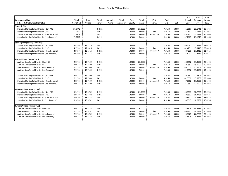| <b>Government Unit</b><br><b>School District &amp; Taxable Status</b><br><b>Standish City</b><br>Standish-Sterling School District [Non-PRE]<br>Standish-Sterling School District [PRE]<br>Standish-Sterling School District [Com. Personal]<br>Standish-Sterling School District [Ind. Personal]                                                                                                                      | Total<br>Gov't Unit<br>17.9742<br>17.9742<br>17.9742<br>17.9742              | Total<br>Village                                                                     | Total<br>Library<br>0.4912<br>0.4912<br>0.4912<br>0.4912                     | Authority<br>Name | Total<br>Authority | Total<br>County<br>10.9000<br>10.9000<br>10.9000<br>10.9000                          | Total<br>School<br>21.0000<br>3.0000<br>9.0000<br>3.0000                       | I.S.D.<br>Name<br>Bay<br>Arenac ISD    | Total<br>I.S.D.<br>4.9153<br>4.9153<br>4.9153<br>4.9153                      | <b>SET</b><br>6.0000<br>6.0000<br>6.0000<br>0.0000                           | Total<br>Annual<br>Levy<br>61.2807<br>43.2807<br>49.2807<br>37.2807                  | Total<br>Summer<br>Levy<br>23.1742<br>23.1742<br>23.1742<br>23.1742                  | Total<br>Winter<br>Levy<br>38.1065<br>20.1065<br>26.1065<br>14.1065                  |
|------------------------------------------------------------------------------------------------------------------------------------------------------------------------------------------------------------------------------------------------------------------------------------------------------------------------------------------------------------------------------------------------------------------------|------------------------------------------------------------------------------|--------------------------------------------------------------------------------------|------------------------------------------------------------------------------|-------------------|--------------------|--------------------------------------------------------------------------------------|--------------------------------------------------------------------------------|----------------------------------------|------------------------------------------------------------------------------|------------------------------------------------------------------------------|--------------------------------------------------------------------------------------|--------------------------------------------------------------------------------------|--------------------------------------------------------------------------------------|
| <b>Sterling Village (Deep River Twp)</b><br>Standish-Sterling School District [Non-PRE]<br>Standish-Sterling School District [PRE]<br>Standish-Sterling School District [Com. Personal]<br>Standish-Sterling School District [Ind. Personal]                                                                                                                                                                           | 4.9750<br>4.9750<br>4.9750<br>4.9750                                         | 12.1416<br>12.1416<br>12.1416<br>12.1416                                             | 0.4912<br>0.4912<br>0.4912<br>0.4912                                         |                   |                    | 10.9000<br>10.9000<br>10.9000<br>10.9000                                             | 21.0000<br>3.0000<br>9.0000<br>3.0000                                          | Bay<br>Arenac ISD                      | 4.9153<br>4.9153<br>4.9153<br>4.9153                                         | 6.0000<br>6.0000<br>6.0000<br>0.0000                                         | 60.4231<br>42.4231<br>48.4231<br>36.4231                                             | 17.3416<br>17.3416<br>17.3416<br>17.3416                                             | 43.0815<br>25.0815<br>31.0815<br>19.0815                                             |
| <b>Turner Village (Turner Twp)</b><br>Au Gres-Sims School District [Non-PRE]<br>Au Gres-Sims School District [PRE]<br>Au Gres-Sims School District [Com. Personal]<br>Au Gres-Sims School District [Ind. Personal]<br>Standish-Sterling School District [Non-PRE]<br>Standish-Sterling School District [PRE]<br>Standish-Sterling School District [Com. Personal]<br>Standish-Sterling School District [Ind. Personal] | 2.9978<br>2.9978<br>2.9978<br>2.9978<br>2.9978<br>2.9978<br>2.9978<br>2.9978 | 12.7509<br>12.7509<br>12.7509<br>12.7509<br>12.7509<br>12.7509<br>12.7509<br>12.7509 | 0.4912<br>0.4912<br>0.4912<br>0.4912<br>0.4912<br>0.4912<br>0.4912<br>0.4912 |                   |                    | 10.9000<br>10.9000<br>10.9000<br>10.9000<br>10.9000<br>10.9000<br>10.9000<br>10.9000 | 20.0000<br>2.0000<br>8.0000<br>2.0000<br>21.0000<br>3.0000<br>9.0000<br>3.0000 | Bay<br>Arenac ISD<br>Bay<br>Arenac ISD | 4.9153<br>4.9153<br>4.9153<br>4.9153<br>4.9153<br>4.9153<br>4.9153<br>4.9153 | 6.0000<br>6.0000<br>6.0000<br>0.0000<br>6.0000<br>6.0000<br>6.0000<br>0.0000 | 58.0552<br>40.0552<br>46.0552<br>34.0552<br>59.0552<br>41.0552<br>47.0552<br>35.0552 | 37.9509<br>19.9509<br>25.9509<br>19.9509<br>17.9509<br>17.9509<br>17.9509<br>17.9509 | 20.1043<br>20.1043<br>20.1043<br>14.1043<br>41.1043<br>23.1043<br>29.1043<br>17.1043 |
| <b>Twining Village (Mason Twp)</b><br>Standish-Sterling School District [Non-PRE]<br>Standish-Sterling School District [PRE]<br>Standish-Sterling School District [Com. Personal]<br>Standish-Sterling School District [Ind. Personal]                                                                                                                                                                                 | 1.9670<br>1.9670<br>1.9670<br>1.9670                                         | 13.5782<br>13.5782<br>13.5782<br>13.5782                                             | 0.4912<br>0.4912<br>0.4912<br>0.4912                                         |                   |                    | 10.9000<br>10.9000<br>10.9000<br>10.9000                                             | 21.0000<br>3.0000<br>9.0000<br>3.0000                                          | Bay<br>Arenac ISD                      | 4.9153<br>4.9153<br>4.9153<br>4.9153                                         | 6.0000<br>6.0000<br>6.0000<br>0.0000                                         | 58.8517<br>40.8517<br>46.8517<br>34.8517                                             | 18.7782<br>18.7782<br>18.7782<br>18.7782                                             | 40.0735<br>22.0735<br>28.0735<br>16.0735                                             |
| <b>Twining Village (Turner Twp)</b><br>Au Gres-Sims School District [Non-PRE]<br>Au Gres-Sims School District [PRE]<br>Au Gres-Sims School District [Com. Personal]<br>Au Gres-Sims School District [Ind. Personal]                                                                                                                                                                                                    | 2.9978<br>2.9978<br>2.9978<br>2.9978                                         | 13.5782<br>13.5782<br>13.5782<br>13.5782                                             | 0.4912<br>0.4912<br>0.4912<br>0.4912                                         |                   |                    | 10.9000<br>10.9000<br>10.9000<br>10.9000                                             | 20.0000<br>2.0000<br>8.0000<br>2.0000                                          | Bay<br>Arenac ISD                      | 4.9153<br>4.9153<br>4.9153<br>4.9153                                         | 6.0000<br>6.0000<br>6.0000<br>0.0000                                         | 58.8825<br>40.8825<br>46.8825<br>34.8825                                             | 38.7782<br>20.7782<br>26.7782<br>20.7782                                             | 20.1043<br>20.1043<br>20.1043<br>14.1043                                             |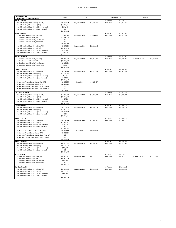| <b>Government Unit</b>                                                                                 | School                      | <b>ISD</b>     |              |                           | Total Gov't Unit             | Authority         |              |
|--------------------------------------------------------------------------------------------------------|-----------------------------|----------------|--------------|---------------------------|------------------------------|-------------------|--------------|
| <b>School District &amp; Taxable Status</b><br><b>Adams Township</b>                                   |                             |                |              | All Property              | \$18,619,432                 |                   |              |
| Standish-Sterling School District [Non-PRE]                                                            | \$6,313,358                 | Bay Arenac ISD | \$18,619,432 | Real Only                 | \$16,207,832                 |                   |              |
| Standish-Sterling School District [PRE]                                                                | \$12,000,474                |                |              |                           |                              |                   |              |
| Standish-Sterling School District [Com. Personal]                                                      | \$305,600                   |                |              |                           |                              |                   |              |
| Standish-Sterling School District [Ind. Personal]                                                      | \$0                         |                |              |                           |                              |                   |              |
|                                                                                                        | \$18,619,432                |                |              |                           |                              |                   |              |
| <b>Arenac Township</b>                                                                                 |                             |                |              | All Property              | \$28,685,983                 |                   |              |
| Au Gres-Sims School District [Non-PRE]<br>Au Gres-Sims School District [PRE]                           | \$1,182,254<br>\$1,251,194  | Bay Arenac ISD | \$2,433,448  | Real Only                 | \$25,642,483                 |                   |              |
| Au Gres-Sims School District [Com. Personal]                                                           | \$0                         |                |              |                           |                              |                   |              |
| Au Gres-Sims School District [Ind. Personal]                                                           | \$0                         |                |              |                           |                              |                   |              |
|                                                                                                        | \$2.433.448                 |                |              |                           |                              |                   |              |
| Standish-Sterling School District [Non-PRE]                                                            | \$9,197,364                 | Bay Arenac ISD | \$26,252,535 |                           |                              |                   |              |
| Standish-Sterling School District [PRE]                                                                | \$16,851,171                |                |              |                           |                              |                   |              |
| Standish-Sterling School District [Com. Personal]                                                      | \$151,500                   |                |              |                           |                              |                   |              |
| Standish-Sterling School District [Ind. Personal]                                                      | \$52,500<br>\$26,252,535    |                |              |                           |                              |                   |              |
| Au Gres Township                                                                                       |                             |                |              | All Property              | \$47,897,909                 |                   |              |
| Au Gres-Sims School District [Non-PRE]                                                                 | \$23,279,716                | Bay Arenac ISD | \$47,897,909 | Real Only                 | \$44,759,609                 | Au Gres-Sims Fire | \$47,897,909 |
| Au Gres-Sims School District [PRE]                                                                     | \$23,607,093                |                |              |                           |                              |                   |              |
| Au Gres-Sims School District [Com. Personal]                                                           | \$1,010,600                 |                |              |                           |                              |                   |              |
| Au Gres-Sims School District [Ind. Personal]                                                           | \$500                       |                |              |                           |                              |                   |              |
|                                                                                                        | \$47,897,909                |                |              |                           |                              |                   |              |
| <b>Clayton Township</b>                                                                                |                             |                |              | All Property              | \$31,620,943                 |                   |              |
| Standish-Sterling School District [Non-PRE]<br>Standish-Sterling School District [PRE]                 | \$9,218,050<br>\$17,539,796 | Bay Arenac ISD | \$26,801,446 | Real Only                 | \$29,937,943                 |                   |              |
| Standish-Sterling School District [Com. Personal]                                                      | \$1,100                     |                |              |                           |                              |                   |              |
| Standish-Sterling School District [Ind. Personal]                                                      | \$42,500                    |                |              |                           |                              |                   |              |
|                                                                                                        | \$26,801,446                |                |              |                           |                              |                   |              |
| Whittemore-Prescot School District [Non-PRE]                                                           | \$1,998,585                 | losco ISD      | \$4,819,497  |                           |                              |                   |              |
| Whittemore-Prescot School District [PRE]                                                               | \$2,820,912                 |                |              |                           |                              |                   |              |
| Whittemore-Prescot School District [Com. Personal]                                                     | \$0                         |                |              |                           |                              |                   |              |
| Whittemore-Prescot School District [Ind. Personal]                                                     | \$0                         |                |              |                           |                              |                   |              |
|                                                                                                        | \$4,819,497                 |                |              |                           |                              |                   |              |
| Deep River Township<br>Standish-Sterling School District [Non-PRE]                                     | \$17,062,031                | Bay Arenac ISD | \$55,831,521 | All Property<br>Real Only | \$55,831,521<br>\$53,013,321 |                   |              |
| Standish-Sterling School District [PRE]                                                                | \$38,611,190                |                |              |                           |                              |                   |              |
| Standish-Sterling School District [Com. Personal]                                                      | \$46,700                    |                |              |                           |                              |                   |              |
| Standish-Sterling School District [Ind. Personal]                                                      | \$111,600                   |                |              |                           |                              |                   |              |
|                                                                                                        | \$55,831,521                |                |              |                           |                              |                   |              |
| Lincoln Township                                                                                       |                             |                |              | All Property              | \$28,586,114                 |                   |              |
| Standish-Sterling School District [Non-PRE]                                                            | \$8,220,995                 | Bay Arenac ISD | \$28,586,114 | Real Only                 | \$25,609,614                 |                   |              |
| Standish-Sterling School District [PRE]                                                                | \$19,083,919                |                |              |                           |                              |                   |              |
| Standish-Sterling School District [Com. Personal]<br>Standish-Sterling School District [Ind. Personal] | \$1,280,900<br>\$300        |                |              |                           |                              |                   |              |
|                                                                                                        | \$28,586,114                |                |              |                           |                              |                   |              |
| <b>Mason Township</b>                                                                                  |                             |                |              | All Property              | \$22,423,916                 |                   |              |
| Standish-Sterling School District [Non-PRE]                                                            | \$6,117,373                 | Bay Arenac ISD | \$16,830,380 | Real Only                 | \$20,514,516                 |                   |              |
| Standish-Sterling School District [PRE]                                                                | \$10,688,807                |                |              |                           |                              |                   |              |
| Standish-Sterling School District [Com. Personal]                                                      | \$24,200                    |                |              |                           |                              |                   |              |
| Standish-Sterling School District [Ind. Personal]                                                      | \$0                         |                |              |                           |                              |                   |              |
| Whittemore-Prescot School District [Non-PRE]                                                           | \$16,830,380                | losco ISD      | \$5,593,536  |                           |                              |                   |              |
| Whittemore-Prescot School District [PRE]                                                               | \$1,717,647<br>\$3,875,889  |                |              |                           |                              |                   |              |
| Whittemore-Prescot School District [Com. Personal]                                                     | \$0                         |                |              |                           |                              |                   |              |
| Whittemore-Prescot School District [Ind. Personal]                                                     | \$0                         |                |              |                           |                              |                   |              |
|                                                                                                        | \$5,593,536                 |                |              |                           |                              |                   |              |
| <b>Moffatt Township</b>                                                                                |                             |                |              | All Property              | \$55,380,557                 |                   |              |
| Standish-Sterling School District [Non-PRE]                                                            | \$29,571,483                | Bay Arenac ISD | \$55,380,557 | Real Only                 | \$49,572,757                 |                   |              |
| Standish-Sterling School District [PRE]                                                                | \$25,505,274                |                |              |                           |                              |                   |              |
| Standish-Sterling School District [Com. Personal]<br>Standish-Sterling School District [Ind. Personal] | \$303,800<br>\$0            |                |              |                           |                              |                   |              |
|                                                                                                        | \$55,380,557                |                |              |                           |                              |                   |              |
| Sims Township                                                                                          |                             |                |              | All Property              | \$92,275,373                 |                   |              |
| Au Gres-Sims School District [Non-PRE]                                                                 | \$56,039,445                | Bay Arenac ISD | \$92,275,373 | Real Only                 | \$89,387,873                 | Au Gres-Sims Fire | \$92,275,373 |
| Au Gres-Sims School District [PRE]                                                                     | \$35,907,328                |                |              |                           |                              |                   |              |
| Au Gres-Sims School District [Com. Personal]                                                           | \$328,600                   |                |              |                           |                              |                   |              |
| Au Gres-Sims School District [Ind. Personal]                                                           | \$0                         |                |              |                           |                              |                   |              |
| <b>Standish Township</b>                                                                               | \$92,275,373                |                |              |                           | \$53,076,118                 |                   |              |
| Standish-Sterling School District [Non-PRE]                                                            | \$20.638.327                | Bay Arenac ISD | \$53,076,118 | All Property<br>Real Only | \$45,810,318                 |                   |              |
| Standish-Sterling School District [PRE]                                                                | \$31,739,291                |                |              |                           |                              |                   |              |
| Standish-Sterling School District [Com. Personal]                                                      | \$698,500                   |                |              |                           |                              |                   |              |
| Standish-Sterling School District [Ind. Personal]                                                      | \$0                         |                |              |                           |                              |                   |              |
|                                                                                                        | \$53,076,118                |                |              |                           |                              |                   |              |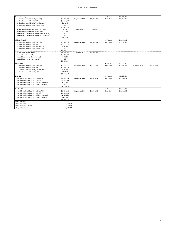| <b>Turner Township</b>                             |              |                |              | All Property | \$25,840,622 |                   |              |
|----------------------------------------------------|--------------|----------------|--------------|--------------|--------------|-------------------|--------------|
| Au Gres-Sims School District [Non-PRE]             | \$10,615,580 | Bay Arenac ISD | \$25,817,159 | Real Only    | \$20,217,022 |                   |              |
| Au Gres-Sims School District [PRE]                 | \$15,101,179 |                |              |              |              |                   |              |
| Au Gres-Sims School District [Com. Personal]       | \$100,400    |                |              |              |              |                   |              |
| Au Gres-Sims School District [Ind. Personal]       | \$0          |                |              |              |              |                   |              |
|                                                    | \$25,817,159 |                |              |              |              |                   |              |
| Whittemore-Prescot School District [Non-PRE]       | \$2,700      | losco ISD      | \$23,463     |              |              |                   |              |
| Whittemore-Prescot School District [PRE]           | \$20,763     |                |              |              |              |                   |              |
| Whittemore-Prescot School District [Com. Personal] | \$0          |                |              |              |              |                   |              |
| Whittemore-Prescot School District [Ind. Personal] | \$0          |                |              |              |              |                   |              |
|                                                    | \$23,463     |                |              |              |              |                   |              |
| <b>Whitney Township</b>                            |              |                |              | All Property | \$80,030,986 |                   |              |
| Au Gres-Sims School District [Non-PRE]             | \$21,834,314 | Bay Arenac ISD | \$39,685,532 | Real Only    | \$75,766,586 |                   |              |
| Au Gres-Sims School District [PRE]                 | \$17,742,718 |                |              |              |              |                   |              |
| Au Gres-Sims School District [Com. Personal]       | \$108,500    |                |              |              |              |                   |              |
| Au Gres-Sims School District [Ind. Personal]       | \$0          |                |              |              |              |                   |              |
|                                                    | \$39,685,532 |                |              |              |              |                   |              |
| Tawas School District [Non-PRE]                    | \$23,459,066 | losco ISD      | \$40,345,454 |              |              |                   |              |
| Tawas School District [PRE]                        | \$16,841,788 |                |              |              |              |                   |              |
| Tawas School District [Com. Personal]              | \$44,600     |                |              |              |              |                   |              |
| Tawas School District [Ind. Personal]              | \$0          |                |              |              |              |                   |              |
|                                                    | \$40,345,454 |                |              |              |              |                   |              |
| <b>Au Gres City</b>                                |              |                |              | All Property | \$28,147,446 |                   |              |
| Au Gres-Sims School District [Non-PRE]             | \$16,168,912 | Bay Arenac ISD | \$28,147,446 | Real Only    | \$26,850,946 | Au Gres-Sims Fire | \$28,147,446 |
| Au Gres-Sims School District [PRE]                 | \$11,800,834 |                |              |              |              |                   |              |
| Au Gres-Sims School District [Com. Personal]       | \$150,100    |                |              |              |              |                   |              |
| Au Gres-Sims School District [Ind. Personal]       | \$27,600     |                |              |              |              |                   |              |
|                                                    | \$28,147,446 |                |              |              |              |                   |              |
| <b>Omer City</b>                                   |              |                |              | All Property | \$6,272,403  |                   |              |
| Standish-Sterling School District [Non-PRE]        | \$3,389,193  | Bay Arenac ISD | \$6,272,403  | Real Only    | \$5,161,703  |                   |              |
| Standish-Sterling School District [PRE]            | \$2,770,510  |                |              |              |              |                   |              |
| Standish-Sterling School District [Com. Personal]  | \$112,700    |                |              |              |              |                   |              |
| Standish-Sterling School District [Ind. Personal]  | \$0          |                |              |              |              |                   |              |
|                                                    | \$6,272,403  |                |              |              |              |                   |              |
| <b>Standish City</b>                               |              |                |              | All Property | \$39,454,552 |                   |              |
| Standish-Sterling School District [Non-PRE]        | \$25,611,796 | Bay Arenac ISD | \$39,454,552 | Real Only    | \$34,831,152 |                   |              |
| Standish-Sterling School District [PRE]            | \$11,285,656 |                |              |              |              |                   |              |
| Standish-Sterling School District [Com. Personal]  | \$2,034,300  |                |              |              |              |                   |              |
| Standish-Sterling School District [Ind. Personal]  | \$522,800    |                |              |              |              |                   |              |
|                                                    | \$39,454,552 |                |              |              |              |                   |              |
| Village of Sterling                                | 8,123,120    |                |              |              |              |                   |              |
| Village of Turner                                  | 2,132,971    |                |              |              |              |                   |              |
| Village of Twining - Mason                         | 1,144,944    |                |              |              |              |                   |              |
| Village of Twining - Turner                        | 2,769,084    |                |              |              |              |                   |              |
|                                                    |              |                |              |              |              |                   |              |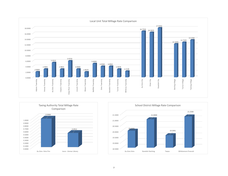



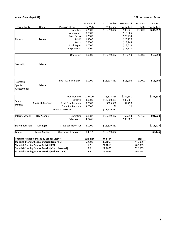## **Adams Township (001) 2021 Ad Valorem Taxes**

|                        |                                                          |                            | Amount of        | 2021 Taxable | Estimate of        | <b>Total Tax</b> | Total Est.         |
|------------------------|----------------------------------------------------------|----------------------------|------------------|--------------|--------------------|------------------|--------------------|
| <b>Taxing Entity</b>   | Name                                                     | Purpose of Tax             | <b>Tax Mills</b> | Valuation    | <b>Tax Dollars</b> | Mills            | <b>Tax Dollars</b> |
|                        |                                                          | Operating                  | 5.2000           | \$18,619,432 | \$96,821           | 10.9000          | \$202,952          |
|                        |                                                          | Ambulance                  | 0.7500           |              | \$13,965           |                  |                    |
|                        |                                                          | Road Patrol                | 1.2500           |              | \$23,274           |                  |                    |
| County                 | Arenac                                                   | E-911                      | 1.3500           |              | \$25,136           |                  |                    |
|                        |                                                          | Senior                     | 0.7500           |              | \$13,965           |                  |                    |
|                        |                                                          | Road Repair                | 1.0000           |              | \$18,619           |                  |                    |
|                        |                                                          | Transportation             | 0.6000           |              | \$11,172           |                  |                    |
|                        |                                                          | Operating                  | 1.0000           | \$18,619,432 | \$18,619           | 1.0000           | \$18,619           |
|                        |                                                          |                            |                  |              |                    |                  |                    |
| Township               | <b>Adams</b>                                             |                            |                  |              |                    |                  |                    |
|                        |                                                          |                            |                  |              |                    |                  |                    |
|                        |                                                          | Fire PA 33 (real only)     | 1.0000           | \$16,207,832 | \$16,208           | 1.0000           | \$16,208           |
| Township               |                                                          |                            |                  |              |                    |                  |                    |
| Special                | <b>Adams</b>                                             |                            |                  |              |                    |                  |                    |
| Assessments            |                                                          |                            |                  |              |                    |                  |                    |
|                        |                                                          |                            |                  |              |                    |                  |                    |
|                        |                                                          | <b>Total Non-PRE</b>       | 21.0000          | \$6,313,358  | \$132,581          |                  | \$171,332          |
| School                 |                                                          | <b>Total PRE</b>           | 3.0000           | \$12,000,474 | \$36,001           |                  |                    |
| District               | <b>Standish-Sterling</b>                                 | <b>Total Com Personal</b>  | 9.0000           | \$305,600    | \$2,750            |                  |                    |
|                        |                                                          | <b>Total Ind Personal</b>  | 3.0000           | \$0          | \$0                |                  |                    |
|                        |                                                          | <b>TOTAL COMBINED</b>      |                  | \$18,619,432 |                    |                  |                    |
| Interm. School         | <b>Bay Arenac</b>                                        | Operating                  | 0.1887           | \$18,619,432 | \$3,513            | 4.9153           | \$91,520           |
|                        |                                                          | Extra Voted                | 4.7266           |              | \$88,007           |                  |                    |
| <b>State Education</b> | Michigan                                                 | <b>State Education Tax</b> | 6.0000           | \$18,619,432 |                    |                  | \$111,717          |
|                        |                                                          |                            |                  |              |                    |                  |                    |
| Library                | losco-Arenac                                             | Operating & Ex Voted       | 0.4912           | \$18,619,432 |                    |                  | \$9,146            |
|                        | <b>Totals for Taxable Status by School District</b>      |                            | Summer           | Winter       |                    | <b>Total</b>     |                    |
|                        | <b>Standish-Sterling School District [Non-PRE]</b>       |                            | 5.2000           | 39.1065      |                    | 44.3065          |                    |
|                        | <b>Standish-Sterling School District [PRE]</b>           |                            | 5.2              | 21.1065      |                    | 26.3065          |                    |
|                        | <b>Standish-Sterling School District [Com. Personal]</b> |                            | 5.2              | 27.1065      |                    | 32.3065          |                    |
|                        | Standish-Sterling School District [Ind. Personal]        |                            | 5.2              | 15.1065      |                    | 20.3065          |                    |
|                        |                                                          |                            |                  |              |                    |                  |                    |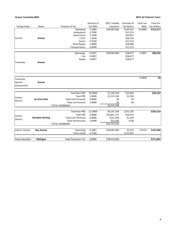## **Arenac Township (002) 2021 Ad Valorem Taxes**

|                        |                          |                            | Amount of        | 2021 Taxable | Estimate of        | <b>Total Tax</b> | Total Est.               |
|------------------------|--------------------------|----------------------------|------------------|--------------|--------------------|------------------|--------------------------|
| <b>Taxing Entity</b>   | Name                     | Purpose of Tax             | <b>Tax Mills</b> | Valuation    | <b>Tax Dollars</b> | Mills            | <b>Tax Dollars</b>       |
|                        |                          | Operating                  | 5.2000           | \$28,685,983 | \$149,167          | 10.9000          | \$312,677                |
|                        |                          | Ambulance                  | 0.7500           |              | \$21,514           |                  |                          |
|                        |                          | <b>Road Patrol</b>         | 1.2500           |              | \$35,857           |                  |                          |
| County                 | Arenac                   | E-911                      | 1.3500           |              | \$38,726           |                  |                          |
|                        |                          | Senior                     | 0.7500           |              | \$21,514           |                  |                          |
|                        |                          | Road Repair                | 1.0000           |              | \$28,686           |                  |                          |
|                        |                          | Transportation             | 0.6000           |              | \$17,212           |                  |                          |
|                        |                          | Operating                  | 0.9997           | \$28,685,983 | \$28,677           | 2.9991           | \$86,032                 |
|                        |                          | Fire                       | 0.9997           |              | \$28,677           |                  |                          |
|                        |                          | Roads                      | 0.9997           |              | \$28,677           |                  |                          |
| Township               | Arenac                   |                            |                  |              |                    |                  |                          |
|                        |                          |                            |                  |              |                    |                  |                          |
|                        |                          |                            |                  |              |                    | 0.0000           | $\overline{\mathbf{50}}$ |
| Township               |                          |                            |                  |              |                    |                  |                          |
| Special                | Arenac                   |                            |                  |              |                    |                  |                          |
| Assessments            |                          |                            |                  |              |                    |                  |                          |
|                        |                          | <b>Total Non-PRE</b>       | 20.0000          | \$1,182,254  | \$23,645           |                  | \$26,147                 |
|                        |                          | <b>Total PRE</b>           | 2.0000           | \$1,251,194  | \$2,502            |                  |                          |
| School                 | Au Gres-Sims             | <b>Total Com Personal</b>  | 8.0000           | \$0          | \$0                |                  |                          |
| <b>District</b>        |                          | <b>Total Ind Personal</b>  | 2.0000           | \$0          | \$0                |                  |                          |
|                        |                          | <b>TOTAL COMBINED</b>      |                  | \$2,433,448  |                    |                  |                          |
|                        |                          |                            |                  |              |                    |                  |                          |
|                        |                          | <b>Total Non-PRE</b>       | 21.0000          | \$9,197,364  | \$193,145          |                  | \$245,219                |
|                        |                          | <b>Total PRE</b>           | 3.0000           | \$16,851,171 | \$50,554           |                  |                          |
| School                 | <b>Standish-Sterling</b> | <b>Total Com Personal</b>  | 9.0000           | \$151,500    | \$1,364            |                  |                          |
| District               |                          | <b>Total Ind Personal</b>  | 3.0000           | \$52,500     | \$158              |                  |                          |
|                        |                          | <b>TOTAL COMBINED</b>      |                  | \$26,252,535 |                    |                  |                          |
|                        |                          |                            |                  |              |                    |                  |                          |
| Interm. School         | <b>Bay Arenac</b>        | Operating                  | 0.1887           | \$28,685,983 | \$5,413            | 4.9153           | \$141,000                |
|                        |                          | <b>Extra Voted</b>         | 4.7266           |              | \$135,587          |                  |                          |
| <b>State Education</b> | Michigan                 | <b>State Education Tax</b> | 6.0000           | \$28,633,483 |                    |                  | \$171,801                |
|                        |                          |                            |                  |              |                    |                  |                          |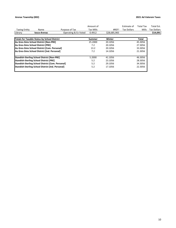## **Arenac Township (002) 2021 Ad Valorem Taxes**

|                      |                                                          |                      | Amount of |              | Estimate of        | Total Tax    | Total Est.         |  |
|----------------------|----------------------------------------------------------|----------------------|-----------|--------------|--------------------|--------------|--------------------|--|
| <b>Taxing Entity</b> | Name                                                     | Purpose of Tax       | Tax Mills | #REF!        | <b>Tax Dollars</b> | <b>Mills</b> | <b>Tax Dollars</b> |  |
| Library              | losco-Arenac                                             | Operating & Ex Voted | 0.4912    | \$28,685,983 |                    |              | \$14,091           |  |
|                      | <b>Totals for Taxable Status by School District</b>      |                      | Summer    | Winter       |                    | Total        |                    |  |
|                      | Au Gres-Sims School District [Non-PRE]                   |                      | 25.2000   | 20.1056      |                    | 45.3056      |                    |  |
|                      | Au Gres-Sims School District [PRE]                       |                      | 7.2       | 20.1056      |                    | 27.3056      |                    |  |
|                      | Au Gres-Sims School District [Com. Personal]             |                      | 13.2      | 20.1056      |                    | 33.3056      |                    |  |
|                      | Au Gres-Sims School District [Ind. Personal]             |                      | 7.2       | 14.1056      |                    | 21.3056      |                    |  |
|                      | <b>Standish-Sterling School District [Non-PRE]</b>       |                      | 5.2000    | 41.1056      |                    | 46.3056      |                    |  |
|                      | <b>Standish-Sterling School District [PRE]</b>           |                      | 5.2       | 23.1056      |                    | 28.3056      |                    |  |
|                      | <b>Standish-Sterling School District [Com. Personal]</b> |                      | 5.2       | 29.1056      |                    | 34.3056      |                    |  |
|                      | <b>Standish-Sterling School District [Ind. Personal]</b> |                      | 5.2       | 17.1056      |                    | 22.3056      |                    |  |
|                      |                                                          |                      |           |              |                    |              |                    |  |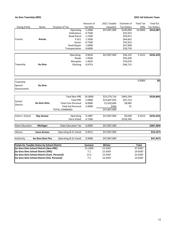## **Au Gres Township (003) 2021 Ad Valorem Taxes**

|                        |                                                     |                            | Amount of        | 2021 Taxable | Estimate of        | <b>Total Tax</b> | Total Est.         |
|------------------------|-----------------------------------------------------|----------------------------|------------------|--------------|--------------------|------------------|--------------------|
| <b>Taxing Entity</b>   | Name                                                | Purpose of Tax             | <b>Tax Mills</b> | Valuation    | <b>Tax Dollars</b> | Mills            | <b>Tax Dollars</b> |
|                        |                                                     | Operating                  | 5.2000           | \$47,897,909 | \$249,069          | 10.9000          | \$522,087          |
|                        |                                                     | Ambulance                  | 0.7500           |              | \$35,923           |                  |                    |
|                        |                                                     | <b>Road Patrol</b>         | 1.2500           |              | \$59,872           |                  |                    |
| County                 | Arenac                                              | E-911                      | 1.3500           |              | \$64,662           |                  |                    |
|                        |                                                     | Senior                     | 0.7500           |              | \$35,923           |                  |                    |
|                        |                                                     | Road Repair                | 1.0000           |              | \$47,898           |                  |                    |
|                        |                                                     | Transportation             | 0.6000           |              | \$28,739           |                  |                    |
|                        |                                                     |                            |                  |              |                    |                  |                    |
|                        |                                                     | Operating                  | 0.9634           | \$47,897,909 | \$46,145           | 5.3522           | \$256,359          |
|                        |                                                     | Roads                      | 1.9506           |              | \$93,430           |                  |                    |
|                        |                                                     | Mosquito                   | 1.4629           |              | \$70,070           |                  |                    |
| Township               | <b>Au Gres</b>                                      | Ditching                   | 0.9753           |              | \$46,715           |                  |                    |
|                        |                                                     |                            |                  |              |                    |                  |                    |
| Township               |                                                     |                            |                  |              |                    | 0.0000           | \$0                |
| Special                | <b>Au Gres</b>                                      |                            |                  |              |                    |                  |                    |
| Assessments            |                                                     |                            |                  |              |                    |                  |                    |
|                        |                                                     |                            |                  |              |                    |                  |                    |
|                        |                                                     | <b>Total Non-PRE</b>       | 20.0000          | \$23,279,716 | \$465,594          |                  | \$520,894          |
|                        |                                                     | <b>Total PRE</b>           | 2.0000           | \$23,607,093 | \$47,214           |                  |                    |
| School                 | <b>Au Gres-Sims</b>                                 | <b>Total Com Personal</b>  | 8.0000           | \$1,010,600  | \$8,085            |                  |                    |
| District               |                                                     | <b>Total Ind Personal</b>  | 2.0000           | \$500        | \$1                |                  |                    |
|                        |                                                     | <b>TOTAL COMBINED</b>      |                  | \$47,897,909 |                    |                  |                    |
|                        |                                                     |                            |                  |              |                    |                  |                    |
| Interm. School         | <b>Bay Arenac</b>                                   | Operating                  | 0.1887           | \$47,897,909 | \$9,038            | 4.9153           | \$235,433          |
|                        |                                                     | <b>Extra Voted</b>         | 4.7266           |              | \$226,394          |                  |                    |
| <b>State Education</b> | Michigan                                            | <b>State Education Tax</b> | 6.0000           | \$47,897,409 |                    |                  | \$287,384          |
| Library                | losco-Arenac                                        | Operating & Ex Voted       | 0.4912           | \$47,897,909 |                    |                  | \$23,527           |
| Authority              | <b>Au Gres-Sims Fire</b>                            | Operating & Ex Voted       | 0.9908           | \$47,897,909 |                    |                  | \$47,457           |
|                        |                                                     |                            |                  |              |                    |                  |                    |
|                        | <b>Totals for Taxable Status by School District</b> |                            | <b>Summer</b>    | Winter       |                    | <b>Total</b>     |                    |
|                        | Au Gres-Sims School District [Non-PRE]              |                            | 25.2000          | 22.4587      |                    | 47.6587          |                    |
|                        | Au Gres-Sims School District [PRE]                  |                            | 7.2              | 22.4587      |                    | 29.6587          |                    |
|                        | Au Gres-Sims School District [Com. Personal]        | 13.2                       | 22.4587          |              | 35.6587            |                  |                    |
|                        | Au Gres-Sims School District [Ind. Personal]        |                            | 7.2              | 16.4587      |                    | 23.6587          |                    |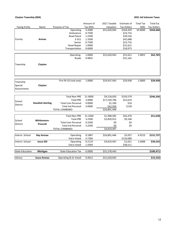## **Clayton Township (004) 2021 Ad Valorem Taxes**

|                        |                          |                            | Amount of        | 2021 Taxable | Estimate of        | <b>Total Tax</b> | Total Est.         |
|------------------------|--------------------------|----------------------------|------------------|--------------|--------------------|------------------|--------------------|
| <b>Taxing Entity</b>   | Name                     | Purpose of Tax             | <b>Tax Mills</b> | Valuation    | <b>Tax Dollars</b> | Mills            | <b>Tax Dollars</b> |
|                        |                          | Operating                  | 5.2000           | \$31,620,943 | \$164,429          | 10.9000          | \$344,668          |
|                        |                          | Ambulance                  | 0.7500           |              | \$23,716           |                  |                    |
|                        |                          | Road Patrol                | 1.2500           |              | \$39,526           |                  |                    |
| County                 | Arenac                   | E-911                      | 1.3500           |              | \$42,688           |                  |                    |
|                        |                          | Senior                     | 0.7500           |              | \$23,716           |                  |                    |
|                        |                          | Road Repair                | 1.0000           |              | \$31,621           |                  |                    |
|                        |                          | Transportation             | 0.6000           |              | \$18,973           |                  |                    |
|                        |                          | Operating                  | 1.0000           | \$31,620,943 | \$31,621           | 1.9855           | \$62,783           |
|                        |                          | Roads                      | 0.9855           |              | \$31,162           |                  |                    |
| Township               | Clayton                  |                            |                  |              |                    |                  |                    |
|                        |                          |                            |                  |              |                    |                  |                    |
|                        |                          | Fire PA 33 (real only)     | 1.0000           | \$29,937,943 | \$29,938           | 1.0000           | \$29,938           |
| Township               |                          |                            |                  |              |                    |                  |                    |
| Special                | Clayton                  |                            |                  |              |                    |                  |                    |
| Assessments            |                          |                            |                  |              |                    |                  |                    |
|                        |                          | <b>Total Non-PRE</b>       | 21.0000          | \$9,218,050  | \$193,579          |                  | \$246,336          |
|                        |                          | <b>Total PRE</b>           | 3.0000           | \$17,539,796 | \$52,619           |                  |                    |
| School                 | <b>Standish-Sterling</b> | <b>Total Com Personal</b>  | 9.0000           | \$1,100      | \$10               |                  |                    |
| <b>District</b>        |                          | <b>Total Ind Personal</b>  | 3.0000           | \$42,500     | \$128              |                  |                    |
|                        |                          | TOTAL COMBINED             |                  | \$26,801,446 |                    |                  |                    |
|                        |                          |                            |                  |              |                    |                  |                    |
|                        |                          | <b>Total Non-PRE</b>       | 21.2500          | \$1,998,585  | \$42,470           |                  | \$51,638           |
| School                 | <b>Whittemore-</b>       | <b>Total PRE</b>           | 3.2500           | \$2,820,912  | \$9,168            |                  |                    |
| <b>District</b>        | Prescott                 | <b>Total Com Personal</b>  | 9.2500           | \$0          | \$0                |                  |                    |
|                        |                          | <b>Total Ind Personal</b>  | 3.2500           | \$0          | \$0                |                  |                    |
|                        |                          | <b>TOTAL COMBINED</b>      |                  | \$4,819,497  |                    |                  |                    |
| Interm. School         | <b>Bay Arenac</b>        | Operating                  | 0.1887           | \$26,801,446 | \$5,057            | 4.9153           | \$131,737          |
|                        |                          | Extra Voted                | 4.7266           |              | \$126,680          |                  |                    |
| Interm. School         | losco ISD                | Operating                  | 0.2119           | \$4,819,497  | \$1,021            | 1.6488           | \$39,532           |
|                        |                          | <b>Extra Voted</b>         | 1.4369           |              | \$38,511           |                  |                    |
| <b>State Education</b> | Michigan                 | <b>State Education Tax</b> | 6.0000           | \$31,578,443 |                    |                  | \$189,471          |
| Library                |                          |                            | 0.4912           | \$31,620,943 |                    |                  | \$15,532           |
|                        | losco-Arenac             | Operating & Ex Voted       |                  |              |                    |                  |                    |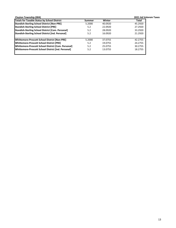| <b>Clayton Township (004)</b>                            |        |         | 2021 Ad Valorem Taxes |
|----------------------------------------------------------|--------|---------|-----------------------|
| Totals for Taxable Status by School District             | Summer | Winter  | Total                 |
| <b>Standish-Sterling School District [Non-PRE]</b>       | 5.2000 | 40.0920 | 45.2920               |
| <b>Standish-Sterling School District [PRE]</b>           | 5.2    | 22.0920 | 27.2920               |
| <b>Standish-Sterling School District [Com. Personal]</b> | 5.2    | 28.0920 | 33.2920               |
| <b>Standish-Sterling School District [Ind. Personal]</b> | 5.2    | 16.0920 | 21.2920               |
| Whittemore-Prescott School District [Non-PRE]            | 5.2000 | 37.0755 | 42.2755               |
| Whittemore-Prescott School District [PRE]                | 5.2    | 19.0755 | 24.2755               |
| Whittemore-Prescott School District [Com. Personal]      | 5.2    | 25.0755 | 30.2755               |
| Whittemore-Prescott School District [Ind. Personal]      | 5.2    | 13.0755 | 18.2755               |
|                                                          |        |         |                       |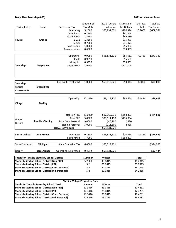## **Deep River Township (005) 2021 Ad Valorem Taxes**

|                        |                                                                                                           |                                         | Amount of        | 2021 Taxable | Estimate of        | <b>Total Tax</b>   | Total Est.           |
|------------------------|-----------------------------------------------------------------------------------------------------------|-----------------------------------------|------------------|--------------|--------------------|--------------------|----------------------|
| <b>Taxing Entity</b>   | Name                                                                                                      | Purpose of Tax                          | <b>Tax Mills</b> | Valuation    | <b>Tax Dollars</b> | Mills              | <b>Tax Dollars</b>   |
|                        |                                                                                                           | Operating                               | 5.2000           | \$55,831,521 | \$290,324          | 10.9000            | \$608,564            |
|                        |                                                                                                           | Ambulance                               | 0.7500           |              | \$41,874           |                    |                      |
|                        |                                                                                                           | Road Patrol                             | 1.2500           |              | \$69,789           |                    |                      |
| County                 | Arenac                                                                                                    | E-911                                   | 1.3500           |              | \$75,373           |                    |                      |
|                        |                                                                                                           | Senior                                  | 0.7500           |              | \$41,874           |                    |                      |
|                        |                                                                                                           | Road Repair                             | 1.0000           |              | \$55,832           |                    |                      |
|                        |                                                                                                           | Transportation                          | 0.6000           |              | \$33,499           |                    |                      |
|                        |                                                                                                           |                                         |                  |              |                    |                    |                      |
|                        |                                                                                                           | Operating                               | 0.9950           | \$55,831,521 | \$55,552           | 4.9750             | \$277,762            |
|                        |                                                                                                           | Roads                                   | 0.9950           |              | \$55,552           |                    |                      |
|                        |                                                                                                           | Mosquito                                | 0.9950           |              | \$55,552           |                    |                      |
| Township               | <b>Deep River</b>                                                                                         | Gypsy Moth                              | 1.9900           |              | \$111,105          |                    |                      |
|                        |                                                                                                           |                                         |                  |              |                    |                    |                      |
|                        |                                                                                                           |                                         |                  |              |                    |                    |                      |
|                        |                                                                                                           |                                         |                  |              |                    |                    |                      |
| Township               |                                                                                                           | Fire PA 33 (real only)                  | 1.0000           | \$53,013,321 | \$53,013           | 1.0000             | \$53,013             |
| Special                | <b>Deep River</b>                                                                                         |                                         |                  |              |                    |                    |                      |
| Assessments            |                                                                                                           |                                         |                  |              |                    |                    |                      |
|                        |                                                                                                           |                                         |                  |              |                    |                    |                      |
|                        |                                                                                                           |                                         |                  |              |                    |                    |                      |
|                        |                                                                                                           | Operating                               | 12.1416          | \$8,123,120  | \$98,628           | 12.1416            | \$98,628             |
| Village                | <b>Sterling</b>                                                                                           |                                         |                  |              |                    |                    |                      |
|                        |                                                                                                           |                                         |                  |              |                    |                    |                      |
|                        |                                                                                                           |                                         |                  |              |                    |                    |                      |
|                        |                                                                                                           | <b>Total Non-PRE</b>                    | 21.0000          | \$17,062,031 | \$358,303          |                    | \$474,891            |
|                        |                                                                                                           | <b>Total PRE</b>                        | 3.0000           | \$38,611,190 | \$115,834          |                    |                      |
| School                 | <b>Standish-Sterling</b>                                                                                  | <b>Total Com Personal</b>               | 9.0000           | \$46,700     | \$420              |                    |                      |
| District               |                                                                                                           | <b>Total Ind Personal</b>               | 3.0000           | \$111,600    | \$335              |                    |                      |
|                        |                                                                                                           | TOTAL COMBINED                          |                  | \$55,831,521 |                    |                    |                      |
|                        |                                                                                                           |                                         |                  |              |                    |                    |                      |
| Interm. School         | <b>Bay Arenac</b>                                                                                         | Operating                               | 0.1887           | \$55,831,521 | \$10,535           | 4.9153             | \$274,429            |
|                        |                                                                                                           | Extra Voted                             | 4.7266           |              | \$263,893          |                    |                      |
|                        |                                                                                                           |                                         |                  |              |                    |                    |                      |
| <b>State Education</b> | Michigan                                                                                                  | <b>State Education Tax</b>              | 6.0000           | \$55,719,921 |                    |                    | \$334,320            |
|                        |                                                                                                           |                                         |                  |              |                    |                    |                      |
| Library                | Iosco-Arenac                                                                                              | Operating & Ex Voted                    | 0.4912           | \$55,831,521 |                    |                    | $\overline{$}27,424$ |
|                        |                                                                                                           |                                         |                  | Winter       |                    |                    |                      |
|                        | <b>Totals for Taxable Status by School District</b><br><b>Standish-Sterling School District [Non-PRE]</b> |                                         | <b>Summer</b>    | 43.0815      |                    | <b>Total</b>       |                      |
|                        | <b>Standish-Sterling School District [PRE]</b>                                                            |                                         | 5.2000<br>5.2    |              |                    | 48.2815<br>30.2815 |                      |
|                        |                                                                                                           |                                         |                  | 25.0815      |                    |                    |                      |
|                        | <b>Standish-Sterling School District [Com. Personal]</b>                                                  |                                         | 5.2              | 31.0815      |                    | 36.2815            |                      |
|                        | <b>Standish-Sterling School District [Ind. Personal]</b>                                                  |                                         | 5.2              | 19.0815      |                    | 24.2815            |                      |
|                        |                                                                                                           |                                         |                  |              |                    |                    |                      |
|                        |                                                                                                           | <b>Sterling Village Properties Only</b> |                  |              |                    |                    |                      |
|                        | <b>Totals for Taxable Status by School District</b>                                                       |                                         | <b>Summer</b>    | Winter       |                    | <b>Total</b>       |                      |
|                        | <b>Standish-Sterling School District [Non-PRE]</b>                                                        |                                         | 17.3416          | 43.0815      |                    | 60.4231            |                      |
|                        | <b>Standish-Sterling School District [PRE]</b>                                                            |                                         | 17.3416          | 25.0815      |                    | 42.4231            |                      |
|                        | <b>Standish-Sterling School District [Com. Personal]</b>                                                  |                                         | 17.3416          | 31.0815      |                    | 48.4231            |                      |
|                        | Standish-Sterling School District [Ind. Personal]                                                         |                                         | 17.3416          | 19.0815      |                    | 36.4231            |                      |
|                        |                                                                                                           |                                         |                  |              |                    |                    |                      |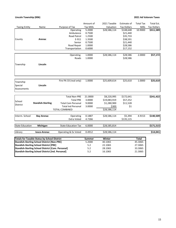## **Lincoln Township (006) 2021 Ad Valorem Taxes**

|                        |                                                          |                            | Amount of        | 2021 Taxable | Estimate of        | <b>Total Tax</b> | Total Est.         |
|------------------------|----------------------------------------------------------|----------------------------|------------------|--------------|--------------------|------------------|--------------------|
| <b>Taxing Entity</b>   | Name                                                     | Purpose of Tax             | <b>Tax Mills</b> | Valuation    | <b>Tax Dollars</b> | Mills            | <b>Tax Dollars</b> |
|                        |                                                          | Operating                  | 5.2000           | \$28,586,114 | \$148,648          | 10.9000          | \$311,589          |
|                        |                                                          | Ambulance                  | 0.7500           |              | \$21,440           |                  |                    |
|                        |                                                          | <b>Road Patrol</b>         | 1.2500           |              | \$35,733           |                  |                    |
| County                 | Arenac                                                   | E-911                      | 1.3500           |              | \$38,591           |                  |                    |
|                        |                                                          | Senior                     | 0.7500           |              | \$21,440           |                  |                    |
|                        |                                                          | Road Repair                | 1.0000           |              | \$28,586           |                  |                    |
|                        |                                                          | Transportation             | 0.6000           |              | \$17,152           |                  |                    |
|                        |                                                          | Operating                  | 1.0000           | \$28,586,114 | \$28,586           | 2.0000           | \$57,172           |
|                        |                                                          | Roads                      | 1.0000           |              | \$28,586           |                  |                    |
|                        |                                                          |                            |                  |              |                    |                  |                    |
| Township               | Lincoln                                                  |                            |                  |              |                    |                  |                    |
|                        |                                                          |                            |                  |              |                    |                  |                    |
|                        |                                                          |                            |                  |              |                    |                  |                    |
|                        |                                                          |                            |                  |              |                    |                  |                    |
|                        |                                                          | Fire PA 33 (real only)     | 1.0000           | \$25,609,614 | \$25,610           | 1.0000           | \$25,610           |
| Township               |                                                          |                            |                  |              |                    |                  |                    |
| Special                | Lincoln                                                  |                            |                  |              |                    |                  |                    |
| Assessments            |                                                          |                            |                  |              |                    |                  |                    |
|                        |                                                          |                            |                  |              |                    |                  |                    |
|                        |                                                          | <b>Total Non-PRE</b>       | 21.0000          | \$8,220,995  | \$172,641          |                  | \$241,422          |
| School                 |                                                          | <b>Total PRE</b>           | 3.0000           | \$19,083,919 | \$57,252           |                  |                    |
| District               | <b>Standish-Sterling</b>                                 | <b>Total Com Personal</b>  | 9.0000           | \$1,280,900  | \$11,528           |                  |                    |
|                        |                                                          | <b>Total Ind Personal</b>  | 3.0000           | \$300        | \$1                |                  |                    |
|                        |                                                          | TOTAL COMBINED             |                  | \$28,586,114 |                    |                  |                    |
| Interm. School         | <b>Bay Arenac</b>                                        | Operating                  | 0.1887           | \$28,586,114 | \$5,394            | 4.9153           | \$140,509          |
|                        |                                                          | Extra Voted                | 4.7266           |              | \$135,115          |                  |                    |
|                        |                                                          |                            |                  |              |                    |                  |                    |
| <b>State Education</b> | Michigan                                                 | <b>State Education Tax</b> | 6.0000           | \$28,585,814 |                    |                  | \$171,515          |
| Library                | losco-Arenac                                             | Operating & Ex Voted       | 0.4912           | \$28,586,114 |                    |                  | \$14,041           |
|                        |                                                          |                            |                  |              |                    |                  |                    |
|                        | <b>Totals for Taxable Status by School District</b>      |                            | <b>Summer</b>    | Winter       |                    | <b>Total</b>     |                    |
|                        | <b>Standish-Sterling School District [Non-PRE]</b>       |                            | 5.2000           | 40.1065      |                    | 45.3065          |                    |
|                        | <b>Standish-Sterling School District [PRE]</b>           |                            | 5.2              | 22.1065      |                    | 27.3065          |                    |
|                        | Standish-Sterling School District [Com. Personal]        |                            | $5.2$            | 28.1065      |                    | 33.3065          |                    |
|                        | <b>Standish-Sterling School District [Ind. Personal]</b> |                            | 5.2              | 16.1065      |                    | 21.3065          |                    |
|                        |                                                          |                            |                  |              |                    |                  |                    |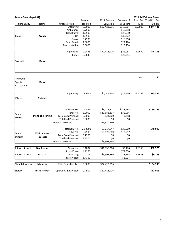| <b>Mason Township (007)</b> |                          |                            |                  |              |                    |         | 2021 Ad Valorem Taxes    |
|-----------------------------|--------------------------|----------------------------|------------------|--------------|--------------------|---------|--------------------------|
|                             |                          |                            | Amount of        | 2021 Taxable | Estimate of        |         | Total Tax Total Est. Tax |
| <b>Taxing Entity</b>        | Name                     | Purpose of Tax             | <b>Tax Mills</b> | Valuation    | <b>Tax Dollars</b> | Mills   | <b>Dollars</b>           |
|                             |                          | Operating                  | 5.2000           | \$22,423,916 | \$116,604          | 10.9000 | \$244,421                |
|                             |                          | Ambulance                  | 0.7500           |              | \$16,818           |         |                          |
|                             |                          | Road Patrol                | 1.2500           |              | \$28,030           |         |                          |
| County                      | Arenac                   | E-911                      | 1.3500           |              | \$30,272           |         |                          |
|                             |                          | Senior                     | 0.7500           |              | \$16,818           |         |                          |
|                             |                          | Road Repair                | 1.0000           |              | \$22,424           |         |                          |
|                             |                          | Transportation             | 0.6000           |              | \$13,454           |         |                          |
|                             |                          |                            |                  |              |                    |         |                          |
|                             |                          | Operating                  | 0.9835           | \$22,423,916 | \$22,054           | 1.9670  | \$44,108                 |
|                             |                          | Roads                      | 0.9835           |              | \$22,054           |         |                          |
|                             |                          |                            |                  |              |                    |         |                          |
| Township                    | Mason                    |                            |                  |              |                    |         |                          |
|                             |                          |                            |                  |              |                    |         |                          |
|                             |                          |                            |                  |              |                    |         |                          |
|                             |                          |                            |                  |              |                    |         |                          |
| Township                    |                          |                            |                  |              |                    | 0.0000  | \$0                      |
| Special                     | Mason                    |                            |                  |              |                    |         |                          |
|                             |                          |                            |                  |              |                    |         |                          |
| Assessments                 |                          |                            |                  |              |                    |         |                          |
|                             |                          |                            |                  |              |                    |         |                          |
|                             |                          | Operating                  | 13.5782          | \$1,144,944  | \$15,546           | 13.5782 | \$15,546                 |
| Village                     | Twining                  |                            |                  |              |                    |         |                          |
|                             |                          |                            |                  |              |                    |         |                          |
|                             |                          |                            |                  |              |                    |         |                          |
|                             |                          | <b>Total Non-PRE</b>       | 21.0000          | \$6,117,373  | \$128,465          |         | \$160,749                |
| School                      |                          | <b>Total PRE</b>           | 3.0000           | \$10,688,807 | \$32,066           |         |                          |
|                             | <b>Standish-Sterling</b> | <b>Total Com Personal</b>  | 9.0000           | \$24,200     | \$218              |         |                          |
| <b>District</b>             |                          | <b>Total Ind Personal</b>  | 3.0000           | \$0          | \$0                |         |                          |
|                             |                          | <b>TOTAL COMBINED</b>      |                  | \$16,830,380 |                    |         |                          |
|                             |                          |                            |                  |              |                    |         |                          |
|                             |                          | <b>Total Non-PRE</b>       | 21.2500          | \$1,717,647  | \$36,500           |         | \$49,097                 |
| School                      | <b>Whittemore-</b>       | <b>Total PRE</b>           | 3.2500           | \$3,875,889  | \$12,597           |         |                          |
|                             |                          | <b>Total Com Personal</b>  | 9.2500           | \$0          | \$0                |         |                          |
| <b>District</b>             | Prescott                 | <b>Total Ind Personal</b>  | 3.2500           | \$0          | \$0                |         |                          |
|                             |                          | <b>TOTAL COMBINED</b>      |                  | \$5,593,536  |                    |         |                          |
|                             |                          |                            |                  |              |                    |         |                          |
| Interm. School              | <b>Bay Arenac</b>        | Operating                  | 0.1887           | \$16,830,380 | \$3,176            | 4.9153  | \$82,726                 |
|                             |                          | Extra Voted                | 4.7266           |              | \$79,550           |         |                          |
| Interm. School              | <b>Iosco ISD</b>         | Operating                  | 0.2119           | \$5,593,536  | \$1,185            | 1.6488  | \$9,223                  |
|                             |                          | Extra Voted                | 1.4369           |              | \$8,037            |         |                          |
| <b>State Education</b>      | Michigan                 | <b>State Education Tax</b> | 6.0000           | \$22,423,916 |                    |         | \$134,543                |
|                             |                          |                            |                  |              |                    |         |                          |
| Library                     | losco-Arenac             | Operating & Ex Voted       | 0.4912           | \$22,423,916 |                    |         | \$11,015                 |
|                             |                          |                            |                  |              |                    |         |                          |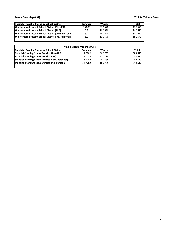ı

| Totals for Taxable Status by School District        | Summer | Winter  | Total   |
|-----------------------------------------------------|--------|---------|---------|
| Whittemore-Prescott School District [Non-PRE]       | 5.2000 | 37.0570 | 42.2570 |
| Whittemore-Prescott School District [PRE]           | 5.2    | 19.0570 | 24.2570 |
| Whittemore-Prescott School District [Com. Personal] | 5.2    | 25.0570 | 30.2570 |
| Whittemore-Prescott School District [Ind. Personal] | 5.2    | 13.0570 | 18.2570 |

| <b>Twining Village Properties Only</b>                   |         |         |         |  |  |  |
|----------------------------------------------------------|---------|---------|---------|--|--|--|
| <b>Totals for Taxable Status by School District</b>      | Summer  | Winter  | Total   |  |  |  |
| <b>Standish-Sterling School District [Non-PRE]</b>       | 18.7782 | 40.0735 | 58.8517 |  |  |  |
| <b>Standish-Sterling School District [PRE]</b>           | 18.7782 | 22.0735 | 40.8517 |  |  |  |
| <b>Standish-Sterling School District [Com. Personal]</b> | 18.7782 | 28.0735 | 46.8517 |  |  |  |
| <b>Standish-Sterling School District [Ind. Personal]</b> | 18.7782 | 16.0735 | 34.8517 |  |  |  |
|                                                          |         |         |         |  |  |  |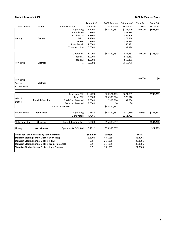## **Moffatt Township (008) 2021 Ad Valorem Taxes**

|                        |                                                          |                            | Amount of        | 2021 Taxable | Estimate of        | <b>Total Tax</b> | Total Est.         |
|------------------------|----------------------------------------------------------|----------------------------|------------------|--------------|--------------------|------------------|--------------------|
| <b>Taxing Entity</b>   | Name                                                     | Purpose of Tax             | <b>Tax Mills</b> | Valuation    | <b>Tax Dollars</b> | Mills            | <b>Tax Dollars</b> |
|                        |                                                          | Operating                  | 5.2000           | \$55,380,557 | \$287,979          | 10.9000          | \$603,648          |
|                        |                                                          | Ambulance                  | 0.7500           |              | \$41,535           |                  |                    |
|                        |                                                          | Road Patrol                | 1.2500           |              | \$69,226           |                  |                    |
| County                 | Arenac                                                   | E-911                      | 1.3500           |              | \$74,764           |                  |                    |
|                        |                                                          | Senior                     | 0.7500           |              | \$41,535           |                  |                    |
|                        |                                                          | Road Repair                | 1.0000           |              | \$55,381           |                  |                    |
|                        |                                                          | Transportation             | 0.6000           |              | \$33,228           |                  |                    |
|                        |                                                          |                            |                  |              |                    |                  |                    |
|                        |                                                          | Operating                  | 1.0000           | \$55,380,557 | \$55,381           | 5.0000           | \$276,903          |
|                        |                                                          | Roads 1                    | 1.0000           |              | \$55,381           |                  |                    |
|                        |                                                          | Roads 2                    | 1.0000           |              | \$55,381           |                  |                    |
| Township               | <b>Moffatt</b>                                           | Fire                       | 2.0000           |              | \$110,761          |                  |                    |
|                        |                                                          |                            |                  |              |                    |                  |                    |
| Township               |                                                          |                            |                  |              |                    | 0.0000           | \$0                |
| Special                | <b>Moffatt</b>                                           |                            |                  |              |                    |                  |                    |
| Assessments            |                                                          |                            |                  |              |                    |                  |                    |
|                        |                                                          |                            |                  |              |                    |                  |                    |
|                        |                                                          | <b>Total Non-PRE</b>       | 21.0000          | \$29,571,483 | \$621,001          |                  | \$700,251          |
| School                 |                                                          | <b>Total PRE</b>           | 3.0000           | \$25,505,274 | \$76,516           |                  |                    |
|                        | <b>Standish-Sterling</b>                                 | <b>Total Com Personal</b>  | 9.0000           | \$303,800    | \$2,734            |                  |                    |
| District               |                                                          | <b>Total Ind Personal</b>  | 3.0000           | \$0          | \$0                |                  |                    |
|                        |                                                          | <b>TOTAL COMBINED</b>      |                  | \$55,380,557 |                    |                  |                    |
|                        |                                                          |                            |                  |              |                    |                  |                    |
| Interm. School         | <b>Bay Arenac</b>                                        | Operating                  | 0.1887           | \$55,380,557 | \$10,450           | 4.9153           | \$272,212          |
|                        |                                                          | <b>Extra Voted</b>         | 4.7266           |              | \$261,762          |                  |                    |
| <b>State Education</b> | Michigan                                                 | <b>State Education Tax</b> | 6.0000           | \$55,380,557 |                    |                  | \$332,283          |
|                        |                                                          |                            |                  |              |                    |                  |                    |
| Library                | losco-Arenac                                             | Operating & Ex Voted       | 0.4912           | \$55,380,557 |                    |                  | \$27,203           |
|                        | <b>Totals for Taxable Status by School District</b>      |                            | Summer           | Winter       |                    | <b>Total</b>     |                    |
|                        | <b>Standish-Sterling School District [Non-PRE]</b>       |                            | 5.2000           | 43.1065      |                    | 48.3065          |                    |
|                        | <b>Standish-Sterling School District [PRE]</b>           |                            | 5.2              | 25.1065      |                    | 30.3065          |                    |
|                        | Standish-Sterling School District [Com. Personal]        |                            | 5.2              | 31.1065      |                    | 36.3065          |                    |
|                        | <b>Standish-Sterling School District [Ind. Personal]</b> |                            | 5.2              | 19.1065      |                    | 24.3065          |                    |
|                        |                                                          |                            |                  |              |                    |                  |                    |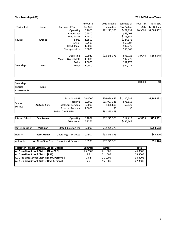## **Sims Township (009) 2021 Ad Valorem Taxes**

|                        |                                                     |                            | Amount of        | 2021 Taxable | Estimate of        | <b>Total Tax</b> | Total Est.                        |
|------------------------|-----------------------------------------------------|----------------------------|------------------|--------------|--------------------|------------------|-----------------------------------|
| <b>Taxing Entity</b>   | Name                                                | Purpose of Tax             | <b>Tax Mills</b> | Valuation    | <b>Tax Dollars</b> | Mills            | <b>Tax Dollars</b>                |
|                        |                                                     | Operating                  | 5.2000           | \$92,275,373 | \$479,832          | 10.9000          | \$1,005,802                       |
|                        |                                                     | Ambulance                  | 0.7500           |              | \$69,207           |                  |                                   |
|                        |                                                     | <b>Road Patrol</b>         | 1.2500           |              | \$115,344          |                  |                                   |
| County                 | Arenac                                              | E-911                      | 1.3500           |              | \$124,572          |                  |                                   |
|                        |                                                     | Senior                     | 0.7500           |              | \$69,207           |                  |                                   |
|                        |                                                     | Road Repair                | 1.0000           |              | \$92,275           |                  |                                   |
|                        |                                                     | Transportation             | 0.6000           |              | \$55,365           |                  |                                   |
|                        |                                                     |                            |                  |              |                    |                  |                                   |
|                        |                                                     | Operating                  | 0.9940           | \$92,275,373 | \$91,722           | 3.9940           | \$368,548                         |
|                        |                                                     | Mosq & Gypsy Moth          | 1.0000           |              | \$92,275           |                  |                                   |
|                        |                                                     | Police                     | 1.0000           |              | \$92,275           |                  |                                   |
| Township               | <b>Sims</b>                                         | Roads                      | 1.0000           |              | \$92,275           |                  |                                   |
| Township               |                                                     |                            |                  |              |                    | 0.0000           | $\overline{\boldsymbol{\zeta_0}}$ |
| Special                | <b>Sims</b>                                         |                            |                  |              |                    |                  |                                   |
| Assessments            |                                                     |                            |                  |              |                    |                  |                                   |
|                        |                                                     |                            |                  |              |                    |                  |                                   |
|                        |                                                     | <b>Total Non-PRE</b>       | 20.0000          | \$56,039,445 | \$1,120,789        |                  | \$1,195,232                       |
|                        |                                                     | <b>Total PRE</b>           | 2.0000           | \$35,907,328 | \$71,815           |                  |                                   |
| School                 | <b>Au Gres-Sims</b>                                 | <b>Total Com Personal</b>  | 8.0000           | \$328,600    | \$2,629            |                  |                                   |
| <b>District</b>        |                                                     | <b>Total Ind Personal</b>  | 2.0000           | \$0          | \$0                |                  |                                   |
|                        |                                                     | TOTAL COMBINED             |                  | \$92,275,373 |                    |                  |                                   |
|                        |                                                     |                            |                  |              |                    |                  |                                   |
| Interm. School         | <b>Bay Arenac</b>                                   | Operating                  | 0.1887           | \$92,275,373 | \$17,412           | 4.9153           | \$453,561                         |
|                        |                                                     | Extra Voted                | 4.7266           |              | \$436,149          |                  |                                   |
|                        |                                                     |                            |                  |              |                    |                  |                                   |
| <b>State Education</b> | Michigan                                            | <b>State Education Tax</b> | 6.0000           | \$92,275,373 |                    |                  | \$553,652                         |
| Library                | losco-Arenac                                        | Operating & Ex Voted       | 0.4912           | \$92,275,373 |                    |                  | \$45,326                          |
|                        |                                                     |                            |                  |              |                    |                  |                                   |
| Authority              | Au Gres-Sims Fire                                   | Operating & Ex Voted       | 0.9908           | \$92,275,373 |                    |                  | \$91,426                          |
|                        | <b>Totals for Taxable Status by School District</b> |                            | <b>Summer</b>    | Winter       |                    | <b>Total</b>     |                                   |
|                        | Au Gres-Sims School District [Non-PRE]              |                            | 25.2000          | 21.1005      |                    | 46.3005          |                                   |
|                        | Au Gres-Sims School District [PRE]                  |                            | 7.2              | 21.1005      |                    | 28.3005          |                                   |
|                        | Au Gres-Sims School District [Com. Personal]        |                            | 13.2             | 21.1005      |                    | 34.3005          |                                   |
|                        | Au Gres-Sims School District [Ind. Personal]        |                            | 7.2              | 15.1005      |                    | 22.3005          |                                   |
|                        |                                                     |                            |                  |              |                    |                  |                                   |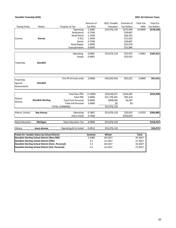## **Standish Township (010) 2021 Ad Valorem Taxes**

|                        |                                                          |                            | Amount of        | 2021 Taxable | Estimate of        | <b>Total Tax</b> | Total Est.         |
|------------------------|----------------------------------------------------------|----------------------------|------------------|--------------|--------------------|------------------|--------------------|
| <b>Taxing Entity</b>   | Name                                                     | Purpose of Tax             | <b>Tax Mills</b> | Valuation    | <b>Tax Dollars</b> | Mills            | <b>Tax Dollars</b> |
|                        |                                                          | Operating                  | 5.2000           | \$53,076,118 | \$275,996          | 10.9000          | \$578,530          |
|                        |                                                          | Ambulance                  | 0.7500           |              | \$39,807           |                  |                    |
|                        |                                                          | <b>Road Patrol</b>         | 1.2500           |              | \$66,345           |                  |                    |
| County                 | Arenac                                                   | E-911                      | 1.3500           |              | \$71,653           |                  |                    |
|                        |                                                          | Senior                     | 0.7500           |              | \$39,807           |                  |                    |
|                        |                                                          | Road Repair                | 1.0000           |              | \$53,076           |                  |                    |
|                        |                                                          | Transportation             | 0.6000           |              | \$31,846           |                  |                    |
|                        |                                                          | Operating                  | 0.9981           | \$53,076,118 | \$52,975           | 1.9962           | \$105,951          |
|                        |                                                          | Roads                      | 0.9981           |              | \$52,975           |                  |                    |
|                        |                                                          |                            |                  |              |                    |                  |                    |
| Township               | <b>Standish</b>                                          |                            |                  |              |                    |                  |                    |
|                        |                                                          |                            |                  |              |                    |                  |                    |
|                        |                                                          |                            |                  |              |                    |                  |                    |
| Township               |                                                          | Fire PA 33 (real only)     | 2.0000           | \$45,810,318 | \$91,621           | 2.0000           | \$91,621           |
| Special                | <b>Standish</b>                                          |                            |                  |              |                    |                  |                    |
| Assessments            |                                                          |                            |                  |              |                    |                  |                    |
|                        |                                                          |                            |                  |              |                    |                  |                    |
|                        |                                                          | <b>Total Non-PRE</b>       | 21.0000          | \$20,638,327 | \$433,405          |                  | \$534,909          |
|                        |                                                          | <b>Total PRE</b>           | 3.0000           | \$31,739,291 | \$95,218           |                  |                    |
| School                 | <b>Standish-Sterling</b>                                 | <b>Total Com Personal</b>  | 9.0000           | \$698,500    | \$6,287            |                  |                    |
| District               |                                                          | <b>Total Ind Personal</b>  | 3.0000           | \$0          | \$0                |                  |                    |
|                        |                                                          | <b>TOTAL COMBINED</b>      |                  | \$53,076,118 |                    |                  |                    |
|                        |                                                          |                            |                  |              |                    |                  |                    |
| Interm. School         | <b>Bay Arenac</b>                                        | Operating                  | 0.1887           | \$53,076,118 | \$10,015           | 4.9153           | \$260,885          |
|                        |                                                          | <b>Extra Voted</b>         | 4.7266           |              | \$250,870          |                  |                    |
| <b>State Education</b> | Michigan                                                 | <b>State Education Tax</b> | 6.0000           | \$53,076,118 |                    |                  | \$318,457          |
|                        |                                                          |                            |                  |              |                    |                  |                    |
| Library                | losco-Arenac                                             | Operating & Ex Voted       | 0.4912           | \$53,076,118 |                    |                  | \$26,071           |
|                        | <b>Totals for Taxable Status by School District</b>      |                            | Summer           | Winter       |                    | <b>Total</b>     |                    |
|                        | <b>Standish-Sterling School District [Non-PRE]</b>       |                            | 5.2000           | 40.1027      |                    | 45.3027          |                    |
|                        | <b>Standish-Sterling School District [PRE]</b>           |                            | 5.2              | 22.1027      |                    | 27.3027          |                    |
|                        | Standish-Sterling School District [Com. Personal]        |                            | 5.2              | 28.1027      |                    | 33.3027          |                    |
|                        | <b>Standish-Sterling School District [Ind. Personal]</b> |                            | 5.2              | 16.1027      |                    | 21.3027          |                    |
|                        |                                                          |                            |                  |              |                    |                  |                    |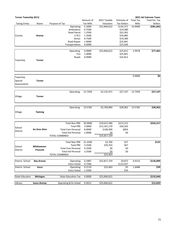| <b>Turner Township (011)</b> |                     |                            |                  |                          |                    |                  | 2021 Ad Valorem Taxes |
|------------------------------|---------------------|----------------------------|------------------|--------------------------|--------------------|------------------|-----------------------|
|                              |                     |                            | Amount of        | 2021 Taxable             | Estimate of        | <b>Total Tax</b> | Total Est. Tax        |
| <b>Taxing Entity</b>         | Name                | Purpose of Tax             | <b>Tax Mills</b> | Valuation                | <b>Tax Dollars</b> | Mills            | <b>Dollars</b>        |
|                              |                     | Operating                  | 5.2000           | $\overline{$}25,840,622$ | \$134,371          | 10.9000          | \$281,663             |
|                              |                     | Ambulance                  | 0.7500           |                          | \$19,380           |                  |                       |
|                              |                     | Road Patrol                | 1.2500           |                          | \$32,301           |                  |                       |
| County                       | Arenac              | E-911                      | 1.3500           |                          | \$34,885           |                  |                       |
|                              |                     | Senior                     | 0.7500           |                          | \$19,380           |                  |                       |
|                              |                     | Road Repair                | 1.0000           |                          | \$25,841           |                  |                       |
|                              |                     | Transportation             | 0.6000           |                          | \$15,504           |                  |                       |
|                              |                     |                            |                  |                          |                    |                  |                       |
|                              |                     | Operating                  | 0.9989           | \$25,840,622             | \$25,812           | 2.9978           | \$77,465              |
|                              |                     | Fire                       | 1.0000           |                          | \$25,841           |                  |                       |
|                              |                     | Roads                      | 0.9989           |                          | \$25,812           |                  |                       |
| Township                     | Turner              |                            |                  |                          |                    |                  |                       |
|                              |                     |                            |                  |                          |                    |                  |                       |
|                              |                     |                            |                  |                          |                    |                  |                       |
|                              |                     |                            |                  |                          |                    |                  |                       |
| Township                     |                     |                            |                  |                          |                    | 0.0000           | \$0                   |
| Special                      | <b>Turner</b>       |                            |                  |                          |                    |                  |                       |
| Assessments                  |                     |                            |                  |                          |                    |                  |                       |
|                              |                     |                            |                  |                          |                    |                  |                       |
|                              |                     |                            |                  |                          |                    |                  |                       |
|                              |                     | Operating                  | 12.7509          | \$2,132,971              | \$27,197           | 12.7509          | \$27,197              |
| Village                      | <b>Turner</b>       |                            |                  |                          |                    |                  |                       |
|                              |                     |                            |                  |                          |                    |                  |                       |
|                              |                     |                            |                  |                          |                    |                  |                       |
|                              |                     |                            |                  |                          |                    |                  |                       |
|                              |                     | Operating                  | 13.5782          | \$2,769,084              | \$28,962           | 13.5782          | \$28,962              |
| Village                      | Twining             |                            |                  |                          |                    |                  |                       |
|                              |                     |                            |                  |                          |                    |                  |                       |
|                              |                     |                            |                  |                          |                    |                  |                       |
|                              |                     | <b>Total Non-PRE</b>       | 20.0000          | \$10,615,580             | \$212,312          |                  | \$243,317             |
| School                       |                     | <b>Total PRE</b>           | 2.0000           | \$15,101,179             | \$30,202           |                  |                       |
| District                     | <b>Au Gres-Sims</b> | <b>Total Com Personal</b>  | 8.0000           | \$100,400                | \$803              |                  |                       |
|                              |                     | <b>Total Ind Personal</b>  | 2.0000           | \$0                      | \$0                |                  |                       |
|                              |                     | <b>TOTAL COMBINED</b>      |                  | \$25,817,159             |                    |                  |                       |
|                              |                     |                            |                  |                          |                    |                  |                       |
|                              |                     | <b>Total Non-PRE</b>       | 21.2500          | \$2,700                  | \$57               |                  | \$125                 |
| School                       | <b>Whittemore-</b>  | Total PRE                  | 3.2500           | \$20,763                 | \$67               |                  |                       |
| District                     | Prescott            | <b>Total Com Personal</b>  | 9.2500           | \$0                      | \$0                |                  |                       |
|                              |                     | <b>Total Ind Personal</b>  | 3.2500           | \$0                      | \$0                |                  |                       |
|                              |                     | <b>TOTAL COMBINED</b>      |                  | \$23,463                 |                    |                  |                       |
|                              |                     |                            |                  |                          |                    |                  |                       |
| Interm. School               | <b>Bay Arenac</b>   | Operating                  | 0.1887           | \$25,817,159             | \$4,872            | 4.9153           | \$126,899             |
|                              |                     | Extra Voted                | 4.7266           |                          | \$122,027          |                  |                       |
| Interm. School               | losco               | Operating                  | 0.2119           | \$23,463                 | \$5                | 1.6488           | \$39                  |
|                              |                     | Extra Voted                | 1.4369           |                          | \$34               |                  |                       |
|                              |                     |                            |                  |                          |                    |                  |                       |
| State Education              | Michigan            | <b>State Education Tax</b> | 6.0000           | \$25,840,622             |                    |                  | \$155,044             |
|                              |                     |                            |                  |                          |                    |                  |                       |
| Library                      | Iosco-Arenac        | Operating & Ex Voted       | 0.4912           | \$25,840,622             |                    |                  | \$12,693              |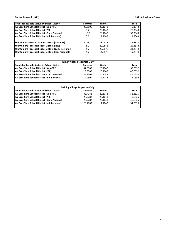**Turner Township (011) 2021 Ad Valorem Taxes**

| <b>Totals for Taxable Status by School District</b> | Summer  | Winter  | Total   |
|-----------------------------------------------------|---------|---------|---------|
| Au Gres-Sims School District [Non-PRE]              | 25.2000 | 20.1043 | 45.3043 |
| Au Gres-Sims School District [PRE]                  | 7.2     | 20.1043 | 27.3043 |
| Au Gres-Sims School District [Com. Personal]        | 13.2    | 20.1043 | 33.3043 |
| Au Gres-Sims School District [Ind. Personal]        | 7.2     | 14.1043 | 21.3043 |
| Whittemore-Prescott School District [Non-PRE]       | 5.2000  | 38.0878 | 43.2878 |
| Whittemore-Prescott School District [PRE]           | 5.2     | 20.0878 | 25.2878 |
| Whittemore-Prescott School District [Com. Personal] | 5.2     | 26.0878 | 31.2878 |
| Whittemore-Prescott School District [Ind. Personal] | 5.2     | 14.0878 | 19.2878 |
|                                                     |         |         |         |

| <b>Turner Village Properties Only</b>               |         |         |         |  |  |  |  |  |
|-----------------------------------------------------|---------|---------|---------|--|--|--|--|--|
| <b>Totals for Taxable Status by School District</b> | Summer  | Winter  | Total   |  |  |  |  |  |
| Au Gres-Sims School District [Non-PRE]              | 37.9509 | 20.1043 | 58.0552 |  |  |  |  |  |
| Au Gres-Sims School District [PRE]                  | 19.9509 | 20.1043 | 40.0552 |  |  |  |  |  |
| Au Gres-Sims School District [Com. Personal]        | 25.9509 | 20.1043 | 46.0552 |  |  |  |  |  |
| Au Gres-Sims School District [Ind. Personal]        | 19.9509 | 14.1043 | 34.0552 |  |  |  |  |  |
|                                                     |         |         |         |  |  |  |  |  |

| <b>Twining Village Properties Only</b>              |         |         |         |  |  |  |  |
|-----------------------------------------------------|---------|---------|---------|--|--|--|--|
| <b>Totals for Taxable Status by School District</b> | Summer  | Winter  | Total   |  |  |  |  |
| Au Gres-Sims School District [Non-PRE]              | 38.7782 | 20.1043 | 58.8825 |  |  |  |  |
| Au Gres-Sims School District [PRE]                  | 20.7782 | 20.1043 | 40.8825 |  |  |  |  |
| Au Gres-Sims School District [Com. Personal]        | 26.7782 | 20.1043 | 46.8825 |  |  |  |  |
| Au Gres-Sims School District [Ind. Personal]        | 20.7782 | 14.1043 | 34.8825 |  |  |  |  |
|                                                     |         |         |         |  |  |  |  |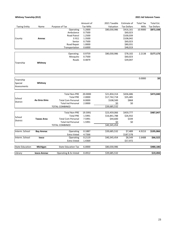## **Whitney Township (012) 2021 Ad Valorem Taxes**

|                        |                     |                            | Amount of        | 2021 Taxable | Estimate of        | <b>Total Tax</b> | Total Est.                        |
|------------------------|---------------------|----------------------------|------------------|--------------|--------------------|------------------|-----------------------------------|
| <b>Taxing Entity</b>   | Name                | Purpose of Tax             | <b>Tax Mills</b> | Valuation    | <b>Tax Dollars</b> | Mills            | <b>Tax Dollars</b>                |
|                        |                     | Operating                  | 5.2000           | \$80,030,986 | \$416,161          | 10.9000          | \$872,338                         |
|                        |                     | Ambulance                  | 0.7500           |              | \$60,023           |                  |                                   |
|                        |                     | <b>Road Patrol</b>         | 1.2500           |              | \$100,039          |                  |                                   |
| County                 | Arenac              | E-911                      | 1.3500           |              | \$108,042          |                  |                                   |
|                        |                     | Senior                     | 0.7500           |              | \$60,023           |                  |                                   |
|                        |                     | Road Repair                | 1.0000           |              | \$80,031           |                  |                                   |
|                        |                     | Transportation             | 0.6000           |              | \$48,019           |                  |                                   |
|                        |                     |                            |                  |              |                    |                  |                                   |
|                        |                     | Operating                  | 0.9759           | \$80,030,986 | \$78,102           | 2.2138           | \$177,173                         |
|                        |                     | Mosquito                   | 0.7500           |              | \$60,023           |                  |                                   |
|                        |                     | Roads                      | 0.4879           |              | \$39,047           |                  |                                   |
| Township               | Whitney             |                            |                  |              |                    |                  |                                   |
|                        |                     |                            |                  |              |                    |                  |                                   |
|                        |                     |                            |                  |              |                    |                  |                                   |
|                        |                     |                            |                  |              |                    |                  |                                   |
| Township               |                     |                            |                  |              |                    | 0.0000           | $\overline{\boldsymbol{\zeta_0}}$ |
| Special                | Whitney             |                            |                  |              |                    |                  |                                   |
| Assessments            |                     |                            |                  |              |                    |                  |                                   |
|                        |                     |                            |                  |              |                    |                  |                                   |
|                        |                     | <b>Total Non-PRE</b>       | 20.0000          | \$21,834,314 | \$436,686          |                  | \$473,040                         |
|                        |                     | <b>Total PRE</b>           | 2.0000           | \$17,742,718 | \$35,485           |                  |                                   |
| School                 | <b>Au Gres-Sims</b> | <b>Total Com Personal</b>  | 8.0000           | \$108,500    | \$868              |                  |                                   |
| <b>District</b>        |                     | <b>Total Ind Personal</b>  | 2.0000           | \$0          | \$0                |                  |                                   |
|                        |                     | <b>TOTAL COMBINED</b>      |                  | \$39,685,532 |                    |                  |                                   |
|                        |                     |                            |                  |              |                    |                  |                                   |
|                        |                     | <b>Total Non-PRE</b>       | 19.5991          | \$23,459,066 | \$459,777          |                  | \$487,047                         |
| School                 |                     | <b>Total PRE</b>           | 1.5991           | \$16,841,788 | \$26,932           |                  |                                   |
|                        | <b>Tawas Area</b>   | <b>Total Com Personal</b>  | 7.5991           | \$44,600     | \$339              |                  |                                   |
| District               |                     | <b>Total Ind Personal</b>  | 1.5991           | \$0          | \$0                |                  |                                   |
|                        |                     | <b>TOTAL COMBINED</b>      |                  | \$40,345,454 |                    |                  |                                   |
|                        |                     |                            |                  |              |                    |                  |                                   |
| Interm. School         | <b>Bay Arenac</b>   | Operating                  | 0.1887           | \$39,685,532 | \$7,489            | 4.9153           | \$195,066                         |
|                        |                     | Extra Voted                | 4.7266           |              | \$187,578          |                  |                                   |
| Interm. School         | losco               | Operating                  | 0.2119           | \$40,345,454 | \$8,549            | 1.6488           | \$66,522                          |
|                        |                     | Extra Voted                | 1.4369           |              | \$57,972           |                  |                                   |
| <b>State Education</b> | Michigan            | <b>State Education Tax</b> | 6.0000           | \$80,030,986 |                    |                  | \$480,186                         |
|                        |                     |                            |                  |              |                    |                  |                                   |
| Library                | losco-Arenac        | Operating & Ex Voted       | 0.4912           | \$39,685,532 |                    |                  | \$19,494                          |
|                        |                     |                            |                  |              |                    |                  |                                   |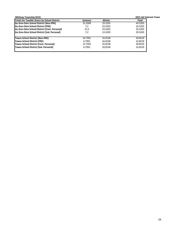|         |         | 2021 Ad Valorem Taxes |
|---------|---------|-----------------------|
| Summer  | Winter  | Total                 |
| 25,2000 | 19.3203 | 44.5203               |
| 7.2     | 19.3203 | 26.5203               |
| 13.2    | 19.3203 | 32.5203               |
| 7.2     | 13.3203 | 20.5203               |
| 24.7991 | 16.0538 | 40.8529               |
| 6.7991  | 16.0538 | 22.8529               |
| 12.7991 | 16.0538 | 28.8529               |
| 6.7991  | 10.0538 | 16.8529               |
|         |         |                       |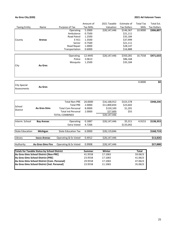## **Au Gres City (020) 2021 Ad Valorem Taxes**

|                                    | Name                                                | Purpose of Tax             | Amount of<br><b>Tax Mills</b> | 2021 Taxable<br>Valuation | Estimate of<br><b>Tax Dollars</b> | <b>Total Tax</b><br>Mills | Total Est.<br><b>Tax Dollars</b> |
|------------------------------------|-----------------------------------------------------|----------------------------|-------------------------------|---------------------------|-----------------------------------|---------------------------|----------------------------------|
| <b>Taxing Entity</b>               |                                                     | Operating                  | 5.2000                        | \$28,147,446              | \$146,367                         | 10.9000                   | \$306,807                        |
|                                    |                                                     | Ambulance                  | 0.7500                        |                           | \$21,111                          |                           |                                  |
|                                    |                                                     | Road Patrol                | 1.2500                        |                           | \$35,184                          |                           |                                  |
| County                             | Arenac                                              | E-911                      | 1.3500                        |                           | \$37,999                          |                           |                                  |
|                                    |                                                     | Senior                     | 0.7500                        |                           | \$21,111                          |                           |                                  |
|                                    |                                                     | Road Repair                | 1.0000                        |                           | \$28,147                          |                           |                                  |
|                                    |                                                     | Transportation             | 0.6000                        |                           | \$16,888                          |                           |                                  |
|                                    |                                                     | Operating                  | 12.4445                       | \$28,147,446              | \$350,281                         | 16.7558                   | \$471,633                        |
|                                    |                                                     | Police                     | 3.0613                        |                           | \$86,168                          |                           |                                  |
| City                               | <b>Au Gres</b>                                      | Mosquito                   | 1.2500                        |                           | \$35,184                          |                           |                                  |
|                                    |                                                     |                            |                               |                           |                                   |                           |                                  |
|                                    |                                                     |                            |                               |                           |                                   | 0.0000                    | \$                               |
| <b>City Special</b><br>Assessments | <b>Au Gres</b>                                      |                            |                               |                           |                                   |                           |                                  |
|                                    |                                                     |                            |                               |                           |                                   |                           |                                  |
|                                    |                                                     | <b>Total Non-PRE</b>       | 20.0000                       | \$16,168,912              | \$323,378                         |                           | \$348,236                        |
| School                             |                                                     | <b>Total PRE</b>           | 2.0000                        | \$11,800,834              | \$23,602                          |                           |                                  |
| District                           | <b>Au Gres-Sims</b>                                 | <b>Total Com Personal</b>  | 8.0000                        | \$150,100                 | \$1,201                           |                           |                                  |
|                                    |                                                     | <b>Total Ind Personal</b>  | 2.0000                        | \$27,600                  | \$55                              |                           |                                  |
|                                    |                                                     | <b>TOTAL COMBINED</b>      |                               | \$28,147,446              |                                   |                           |                                  |
| Interm. School                     | <b>Bay Arenac</b>                                   | Operating                  | 0.1887                        | \$28,147,446              | \$5,311                           | 4.9153                    | \$138,353                        |
|                                    |                                                     | <b>Extra Voted</b>         | 4.7266                        |                           | \$133,042                         |                           |                                  |
| <b>State Education</b>             | Michigan                                            | <b>State Education Tax</b> | 6.0000                        | \$28,119,846              |                                   |                           | \$168,719                        |
| Library                            | losco-Arenac                                        | Operating & Ex Voted       | 0.4912                        | \$28,147,446              |                                   |                           | \$13,826                         |
| Authority                          | <b>Au Gres-Sims Fire</b>                            | Operating & Ex Voted       | 0.9908                        | \$28,147,446              |                                   |                           | \$27,888                         |
|                                    | <b>Totals for Taxable Status by School District</b> |                            | Summer                        | Winter                    |                                   | <b>Total</b>              |                                  |
|                                    | Au Gres-Sims School District [Non-PRE]              |                            | 41.9558                       | 17.1065                   |                                   | 59.0623                   |                                  |
|                                    | Au Gres-Sims School District [PRE]                  |                            | 23.9558                       | 17.1065                   |                                   | 41.0623                   |                                  |
|                                    | Au Gres-Sims School District [Com. Personal]        |                            | 29.9558                       | 17.1065                   |                                   | 47.0623                   |                                  |
|                                    | Au Gres-Sims School District [Ind. Personal]        |                            | 23.9558                       | 11.1065                   |                                   | 35.0623                   |                                  |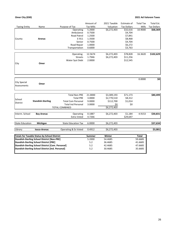## **Omer City (030) 2021 Ad Valorem Taxes**

|                                    |                                                          |                            | Amount of        | 2021 Taxable | Estimate of        | <b>Total Tax</b> | Total Est.         |
|------------------------------------|----------------------------------------------------------|----------------------------|------------------|--------------|--------------------|------------------|--------------------|
| <b>Taxing Entity</b>               | Name                                                     | Purpose of Tax             | <b>Tax Mills</b> | Valuation    | <b>Tax Dollars</b> | Mills            | <b>Tax Dollars</b> |
|                                    |                                                          | Operating                  | 5.2000           | \$6,272,403  | \$32,616           | 10.9000          | \$68,369           |
|                                    |                                                          | Ambulance                  | 0.7500           |              | \$4,704            |                  |                    |
|                                    |                                                          | Road Patrol                | 1.2500           |              | \$7,841            |                  |                    |
| County                             | Arenac                                                   | E-911                      | 1.3500           |              | \$8,468            |                  |                    |
|                                    |                                                          | Senior                     | 0.7500           |              | \$4,704            |                  |                    |
|                                    |                                                          | Road Repair                | 1.0000           |              | \$6,272            |                  |                    |
|                                    |                                                          | Transportation             | 0.6000           |              | \$3,763            |                  |                    |
|                                    |                                                          |                            |                  |              |                    |                  |                    |
|                                    |                                                          | Operating                  | 12.5674          | \$6,272,403  | \$78,828           | 16.3620          | \$102,629          |
|                                    |                                                          | <b>Streets</b>             | 1.7946           | \$6,272,403  | \$11,256           |                  |                    |
|                                    |                                                          | Water Syst Debt            | 2.0000           |              | \$12,545           |                  |                    |
| City                               | Omer                                                     |                            |                  |              |                    |                  |                    |
|                                    |                                                          |                            |                  |              |                    |                  |                    |
|                                    |                                                          |                            |                  |              |                    |                  |                    |
|                                    |                                                          |                            |                  |              |                    | 0.0000           | \$0                |
| <b>City Special</b><br>Assessments | Omer                                                     |                            |                  |              |                    |                  |                    |
|                                    |                                                          |                            |                  |              |                    |                  | \$80,499           |
|                                    |                                                          | <b>Total Non-PRE</b>       | 21.0000          | \$3,389,193  | \$71,173           |                  |                    |
| School                             |                                                          | <b>Total PRE</b>           | 3.0000           | \$2,770,510  | \$8,312            |                  |                    |
| District                           | <b>Standish-Sterling</b>                                 | <b>Total Com Personal</b>  | 9.0000           | \$112,700    | \$1,014            |                  |                    |
|                                    |                                                          | <b>Total Ind Personal</b>  | 3.0000           | \$0          | \$0                |                  |                    |
|                                    |                                                          | <b>TOTAL COMBINED</b>      |                  | \$6,272,403  |                    |                  |                    |
| Interm. School                     | <b>Bay Arenac</b>                                        | Operating                  | 0.1887           | \$6,272,403  | \$1,184            | 4.9153           | \$30,831           |
|                                    |                                                          | <b>Extra Voted</b>         | 4.7266           |              | \$29,647           |                  |                    |
|                                    |                                                          |                            |                  |              |                    |                  |                    |
| <b>State Education</b>             | Michigan                                                 | <b>State Education Tax</b> | 6.0000           | \$6,272,403  |                    |                  | \$37,634           |
| Library                            | losco-Arenac                                             | Operating & Ex Voted       | 0.4912           | \$6,272,403  |                    |                  | \$3,081            |
|                                    |                                                          |                            |                  |              |                    |                  |                    |
|                                    | <b>Totals for Taxable Status by School District</b>      |                            | <b>Summer</b>    | Winter       |                    | <b>Total</b>     |                    |
|                                    | <b>Standish-Sterling School District [Non-PRE]</b>       |                            | 5.2000           | 54.4685      |                    | 59.6685          |                    |
|                                    | <b>Standish-Sterling School District [PRE]</b>           |                            | 5.2              | 36.4685      |                    | 41.6685          |                    |
|                                    | <b>Standish-Sterling School District [Com. Personal]</b> |                            | 5.2              | 42.4685      |                    | 47.6685          |                    |
|                                    | Standish-Sterling School District [Ind. Personal]        |                            | 5.2              | 30.4685      |                    | 35.6685          |                    |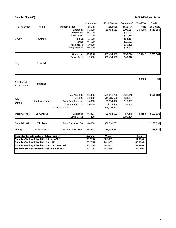## **Standish City (040) 2021 Ad Valorem Taxes**

|                                                    |                                                                                                     |                            | Amount of        | 2021 Taxable | Estimate of        | <b>Total Tax</b> | Total Est.         |
|----------------------------------------------------|-----------------------------------------------------------------------------------------------------|----------------------------|------------------|--------------|--------------------|------------------|--------------------|
| <b>Taxing Entity</b>                               | Name                                                                                                | Purpose of Tax             | <b>Tax Mills</b> | Valuation    | <b>Tax Dollars</b> | Mills            | <b>Tax Dollars</b> |
|                                                    |                                                                                                     | Operating                  | 5.2000           | \$39,454,552 | \$205,164          | 10.9000          | \$430,055          |
|                                                    |                                                                                                     | Ambulance                  | 0.7500           |              | \$29,591           |                  |                    |
|                                                    |                                                                                                     | Road Patrol                | 1.2500           |              | \$49,318           |                  |                    |
| County                                             | Arenac                                                                                              | E-911                      | 1.3500           |              | \$53,264           |                  |                    |
|                                                    |                                                                                                     | Senior                     | 0.7500           |              | \$29,591           |                  |                    |
|                                                    |                                                                                                     | Road Repair                | 1.0000           |              | \$39,455           |                  |                    |
|                                                    |                                                                                                     | Transportation             | 0.6000           |              | \$23,673           |                  |                    |
|                                                    |                                                                                                     |                            |                  |              |                    |                  |                    |
|                                                    |                                                                                                     | Operating                  | 16.7242          | \$39,454,552 | \$659,846          | 17.9742          | \$709,164          |
|                                                    |                                                                                                     | Sewer Debt                 | 1.2500           | \$39,454,552 | \$49,318           |                  |                    |
| City                                               | <b>Standish</b>                                                                                     |                            |                  |              |                    |                  |                    |
|                                                    |                                                                                                     |                            |                  |              |                    |                  |                    |
|                                                    |                                                                                                     |                            |                  |              |                    | 0.0000           | \$0                |
| City Special<br>Assessments                        | Standish                                                                                            |                            |                  |              |                    |                  |                    |
|                                                    |                                                                                                     |                            |                  |              |                    |                  |                    |
|                                                    |                                                                                                     | <b>Total Non-PRE</b>       | 21.0000          | \$25,611,796 | \$537,848          |                  | \$591,582          |
| School                                             |                                                                                                     | <b>Total PRE</b>           | 3.0000           | \$11,285,656 | \$33,857           |                  |                    |
| District                                           | <b>Standish-Sterling</b>                                                                            | <b>Total Com Personal</b>  | 9.0000           | \$2,034,300  | \$18,309           |                  |                    |
|                                                    |                                                                                                     | <b>Total Ind Personal</b>  | 3.0000           | \$522,800    | \$1,568            |                  |                    |
|                                                    |                                                                                                     | <b>TOTAL COMBINED</b>      |                  | \$39,454,552 |                    |                  |                    |
| Interm. School                                     | <b>Bay Arenac</b>                                                                                   | Operating                  | 0.1887           | \$39,454,552 | \$7,445            | 4.9153           | \$193,931          |
|                                                    |                                                                                                     | Extra Voted                | 4.7266           |              | \$186,486          |                  |                    |
| <b>State Education</b>                             | Michigan                                                                                            | <b>State Education Tax</b> | 6.0000           | \$38,931,752 |                    |                  | \$233,591          |
|                                                    |                                                                                                     |                            |                  |              |                    |                  |                    |
| Library                                            | losco-Arenac                                                                                        | Operating & Ex Voted       | 0.4912           | \$39,454,552 |                    |                  | \$19,380           |
|                                                    | <b>Totals for Taxable Status by School District</b>                                                 |                            | <b>Summer</b>    | Winter       |                    | <b>Total</b>     |                    |
| <b>Standish-Sterling School District [Non-PRE]</b> |                                                                                                     |                            | 23.1742          | 38.1065      |                    | 61.2807          |                    |
|                                                    |                                                                                                     |                            |                  |              |                    |                  |                    |
|                                                    |                                                                                                     |                            | 23.1742          | 20.1065      |                    | 43.2807          |                    |
|                                                    | <b>Standish-Sterling School District [PRE]</b><br>Standish-Sterling School District [Com. Personal] |                            | 23.1742          | 26.1065      |                    | 49.2807          |                    |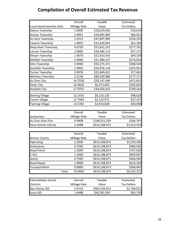# **Compilation of Overall Estimated Tax Revenue**

|                                 | Overall      | Taxable      | Estimated          |
|---------------------------------|--------------|--------------|--------------------|
| <b>Local Governmental Units</b> | Millage Rate | Value        | <b>Tax Dollars</b> |
| <b>Adams Township</b>           | 1.0000       | \$18,619,432 | \$18,619           |
| Arenac Township                 | 2.9991       | \$28,685,983 | \$86,032           |
| Au Gres Township                | 5.3522       | \$47,897,909 | \$256,359          |
| Clayton Township                | 1.9855       | \$31,620,943 | \$62,783           |
| Deep River Township             | 4.9750       | \$55,831,521 | \$277,762          |
| Lincoln Township                | 2.0000       | \$28,586,114 | \$57,172           |
| Mason Township                  | 1.9670       | \$22,423,916 | \$44,108           |
| Moffatt Township                | 5.0000       | \$55,380,557 | \$276,903          |
| Sims Township                   | 3.9940       | \$92,275,373 | \$368,548          |
| <b>Standish Township</b>        | 1.9962       | \$53,076,118 | \$105,951          |
| <b>Turner Township</b>          | 2.9978       | \$25,840,622 | \$77,465           |
| Whitney Township                | 2.2138       | \$80,030,986 | \$177,173          |
| Au Gres City                    | 16.7558      | \$28,147,446 | \$471,633          |
| Omer City                       | 16.3620      | \$6,272,403  | \$102,629          |
| <b>Standish City</b>            | 17.9742      | \$39,454,552 | \$709,164          |
| <b>Sterling Village</b>         | 12.1416      | \$8,123,120  | \$98,628           |
| <b>Turner Village</b>           | 12.7509      | \$2,132,971  | \$27,197           |
| <b>Twining Village</b>          | 13.5782      | \$3,914,028  | \$44,508           |

|                      | Overall      | Taxable       | Estimated          |
|----------------------|--------------|---------------|--------------------|
| Authorities          | Millage Rate | Value         | <b>Tax Dollars</b> |
| Au Gres-Sims Fire    | 0.9908       | \$168,315,354 | \$166,767          |
| losco Arenac Library | 1.6488       | \$614,108,873 | \$1,012,543        |

|                      |       | Overall      | Taxable       | Estimated          |
|----------------------|-------|--------------|---------------|--------------------|
| <b>Arenac County</b> |       | Millage Rate | Value         | <b>Tax Dollars</b> |
| Operating            |       | 5.2000       | \$614,108,873 | \$3,193,366        |
| Ambulance            |       | 0.7500       | \$614,108,873 | \$460,582          |
| <b>Road Patrol</b>   |       | 1.2500       | \$614,108,873 | \$767,636          |
| E-911                |       | 1.3500       | \$614,108,873 | \$829,047          |
| Senior               |       | 0.7500       | \$614,108,873 | \$460,582          |
| Road Repair          |       | 1.0000       | \$614,108,873 | \$614,109          |
| Transportation       |       | 0.6000       | \$614,108,873 | \$368,465          |
|                      | Total | 10.9000      | \$614,108,873 | \$6,325,321        |

| Intermediate School   | Overall      | Taxable       | Estimated          |
|-----------------------|--------------|---------------|--------------------|
| <b>Districts</b>      | Millage Rate | Value         | <b>Tax Dollars</b> |
| <b>Bay Arenac ISD</b> | 4.9153       | \$563,326,923 | \$2,768,921        |
| losco ISD             | 1.6488       | \$50,781,950  | \$83,729           |